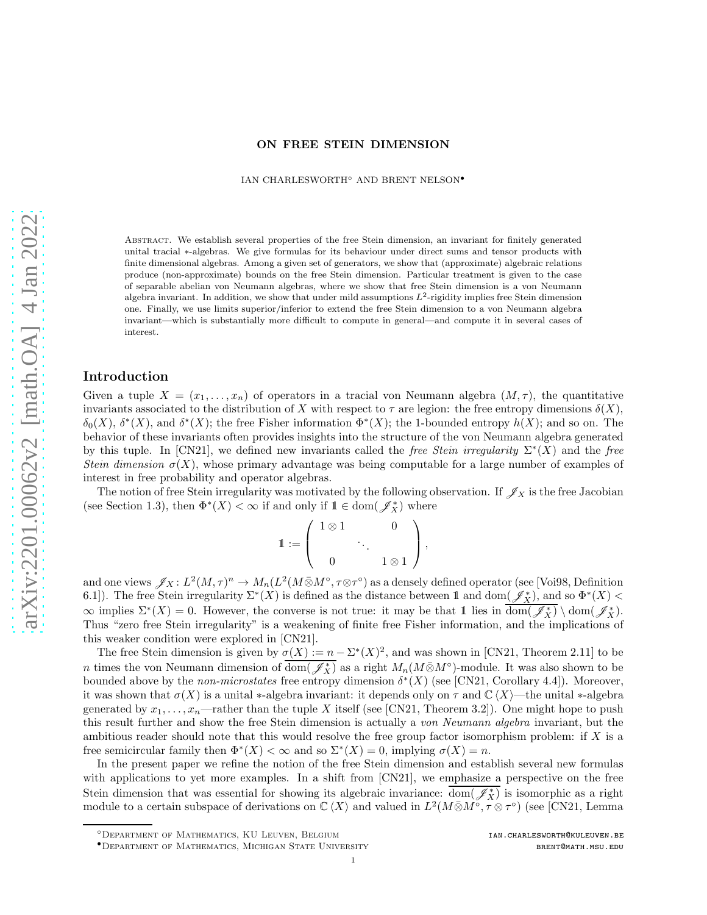#### ON FREE STEIN DIMENSION

IAN CHARLESWORTH◦ AND BRENT NELSON•

Abstract. We establish several properties of the free Stein dimension, an invariant for finitely generated unital tracial ∗-algebras. We give formulas for its behaviour under direct sums and tensor products with finite dimensional algebras. Among a given set of generators, we show that (approximate) algebraic relations produce (non-approximate) bounds on the free Stein dimension. Particular treatment is given to the case of separable abelian von Neumann algebras, where we show that free Stein dimension is a von Neumann algebra invariant. In addition, we show that under mild assumptions  $L^2$ -rigidity implies free Stein dimension one. Finally, we use limits superior/inferior to extend the free Stein dimension to a von Neumann algebra invariant—which is substantially more difficult to compute in general—and compute it in several cases of interest.

#### Introduction

Given a tuple  $X = (x_1, \ldots, x_n)$  of operators in a tracial von Neumann algebra  $(M, \tau)$ , the quantitative invariants associated to the distribution of X with respect to  $\tau$  are legion: the free entropy dimensions  $\delta(X)$ ,  $\delta_0(X)$ ,  $\delta^*(X)$ , and  $\delta^*(X)$ ; the free Fisher information  $\Phi^*(X)$ ; the 1-bounded entropy  $h(X)$ ; and so on. The behavior of these invariants often provides insights into the structure of the von Neumann algebra generated by this tuple. In [\[CN21\]](#page-21-0), we defined new invariants called the free Stein irregularity  $\Sigma^*(X)$  and the free Stein dimension  $\sigma(X)$ , whose primary advantage was being computable for a large number of examples of interest in free probability and operator algebras.

The notion of free Stein irregularity was motivated by the following observation. If  $\mathscr{J}_X$  is the free Jacobian (see Section [1.3\)](#page-2-0), then  $\Phi^*(X) < \infty$  if and only if  $1 \in \text{dom}(\mathscr{J}^*_X)$  where

$$
\mathbb{1} := \left( \begin{array}{ccc} 1 \otimes 1 & & 0 \\ & \ddots & \\ 0 & & 1 \otimes 1 \end{array} \right),
$$

and one views  $\mathscr{J}_X: L^2(M, \tau)^n \to M_n(L^2(M \bar{\otimes} M^{\circ}, \tau \otimes \tau^{\circ})$  as a densely defined operator (see [\[Voi98,](#page-21-1) Definition 6.1]). The free Stein irregularity  $\Sigma^*(X)$  is defined as the distance between 1 and dom $(\mathscr{J}_X^*)$ , and so  $\Phi^*(X)$  $\infty$  implies  $\Sigma^*(X) = 0$ . However, the converse is not true: it may be that 1 lies in  $\overline{\text{dom}(\mathscr{J}^*_X)} \setminus \text{dom}(\mathscr{J}^*_X)$ . Thus "zero free Stein irregularity" is a weakening of finite free Fisher information, and the implications of this weaker condition were explored in [\[CN21\]](#page-21-0).

The free Stein dimension is given by  $\sigma(X) := n - \Sigma^*(X)^2$ , and was shown in [\[CN21,](#page-21-0) Theorem 2.11] to be n times the von Neumann dimension of  $\overline{\text{dom}(\mathscr{J}_X^*)}$  as a right  $M_n(M\bar{\otimes}M^\circ)$ -module. It was also shown to be bounded above by the *non-microstates* free entropy dimension  $\delta^{*}(X)$  (see [\[CN21,](#page-21-0) Corollary 4.4]). Moreover, it was shown that  $\sigma(X)$  is a unital \*-algebra invariant: it depends only on  $\tau$  and  $\mathbb{C}\langle X\rangle$ —the unital \*-algebra generated by  $x_1, \ldots, x_n$ —rather than the tuple X itself (see [\[CN21,](#page-21-0) Theorem 3.2]). One might hope to push this result further and show the free Stein dimension is actually a von Neumann algebra invariant, but the ambitious reader should note that this would resolve the free group factor isomorphism problem: if  $X$  is a free semicircular family then  $\Phi^*(X) < \infty$  and so  $\Sigma^*(X) = 0$ , implying  $\sigma(X) = n$ .

In the present paper we refine the notion of the free Stein dimension and establish several new formulas with applications to yet more examples. In a shift from [\[CN21\]](#page-21-0), we emphasize a perspective on the free Stein dimension that was essential for showing its algebraic invariance:  $\overline{\text{dom}(\mathscr{J}^*_X)}$  is isomorphic as a right module to a certain subspace of derivations on  $\mathbb{C}\langle X\rangle$  and valued in  $L^2(M\bar{\otimes}M^{\circ},\tau\otimes\tau^{\circ})$  (see [\[CN21,](#page-21-0) Lemma

<sup>◦</sup>Department of Mathematics, KU Leuven, Belgium <ian.charlesworth@kuleuven.be>

<sup>•</sup>Department of Mathematics, Michigan State University <brent@math.msu.edu>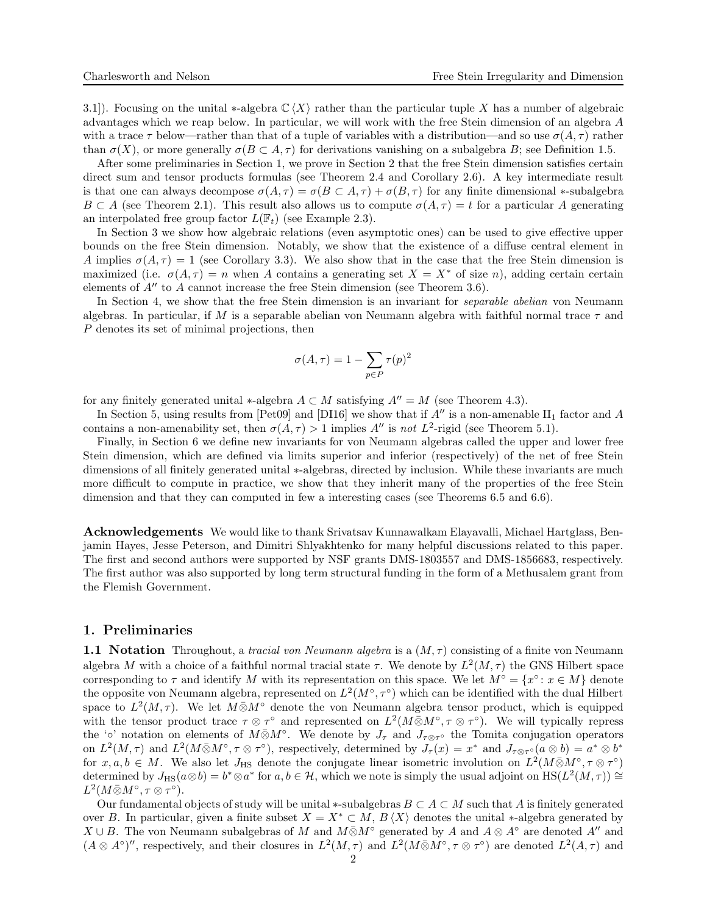3.1]). Focusing on the unital \*-algebra  $\mathbb{C}\langle X\rangle$  rather than the particular tuple X has a number of algebraic advantages which we reap below. In particular, we will work with the free Stein dimension of an algebra A with a trace  $\tau$  below—rather than that of a tuple of variables with a distribution—and so use  $\sigma(A, \tau)$  rather than  $\sigma(X)$ , or more generally  $\sigma(B \subset A, \tau)$  for derivations vanishing on a subalgebra B; see Definition [1.5.](#page-5-0)

After some preliminaries in Section [1,](#page-1-0) we prove in Section [2](#page-5-1) that the free Stein dimension satisfies certain direct sum and tensor products formulas (see Theorem [2.4](#page-7-0) and Corollary [2.6\)](#page-9-0). A key intermediate result is that one can always decompose  $\sigma(A, \tau) = \sigma(B \subset A, \tau) + \sigma(B, \tau)$  for any finite dimensional  $\ast$ -subalgebra  $B \subset A$  (see Theorem [2.1\)](#page-5-2). This result also allows us to compute  $\sigma(A, \tau) = t$  for a particular A generating an interpolated free group factor  $L(\mathbb{F}_t)$  (see Example [2.3\)](#page-7-1).

In Section [3](#page-9-1) we show how algebraic relations (even asymptotic ones) can be used to give effective upper bounds on the free Stein dimension. Notably, we show that the existence of a diffuse central element in A implies  $\sigma(A, \tau) = 1$  (see Corollary [3.3\)](#page-10-0). We also show that in the case that the free Stein dimension is maximized (i.e.  $\sigma(A, \tau) = n$  when A contains a generating set  $X = X^*$  of size n), adding certain certain elements of  $A''$  to A cannot increase the free Stein dimension (see Theorem [3.6\)](#page-11-0).

In Section [4,](#page-12-0) we show that the free Stein dimension is an invariant for *separable abelian* von Neumann algebras. In particular, if M is a separable abelian von Neumann algebra with faithful normal trace  $\tau$  and P denotes its set of minimal projections, then

$$
\sigma(A,\tau) = 1 - \sum_{p \in P} \tau(p)^2
$$

for any finitely generated unital  $*$ -algebra  $A \subset M$  satisfying  $A'' = M$  (see Theorem [4.3\)](#page-13-0).

In Section [5,](#page-14-0) using results from [\[Pet09\]](#page-21-2) and [\[DI16\]](#page-21-3) we show that if A'' is a non-amenable  $\text{II}_1$  factor and A contains a non-amenability set, then  $\sigma(A, \tau) > 1$  implies  $A''$  is not  $L^2$ -rigid (see Theorem [5.1\)](#page-15-0).

Finally, in Section [6](#page-15-1) we define new invariants for von Neumann algebras called the upper and lower free Stein dimension, which are defined via limits superior and inferior (respectively) of the net of free Stein dimensions of all finitely generated unital ∗-algebras, directed by inclusion. While these invariants are much more difficult to compute in practice, we show that they inherit many of the properties of the free Stein dimension and that they can computed in few a interesting cases (see Theorems [6.5](#page-17-0) and [6.6\)](#page-18-0).

Acknowledgements We would like to thank Srivatsav Kunnawalkam Elayavalli, Michael Hartglass, Benjamin Hayes, Jesse Peterson, and Dimitri Shlyakhtenko for many helpful discussions related to this paper. The first and second authors were supported by NSF grants DMS-1803557 and DMS-1856683, respectively. The first author was also supported by long term structural funding in the form of a Methusalem grant from the Flemish Government.

### <span id="page-1-0"></span>1. Preliminaries

**1.1 Notation** Throughout, a tracial von Neumann algebra is a  $(M, \tau)$  consisting of a finite von Neumann algebra M with a choice of a faithful normal tracial state  $\tau$ . We denote by  $L^2(M, \tau)$  the GNS Hilbert space corresponding to  $\tau$  and identify M with its representation on this space. We let  $M^{\circ} = \{x^{\circ} : x \in M\}$  denote the opposite von Neumann algebra, represented on  $L^2(M^{\circ}, \tau^{\circ})$  which can be identified with the dual Hilbert space to  $L^2(M,\tau)$ . We let  $M\bar{\otimes}M^{\circ}$  denote the von Neumann algebra tensor product, which is equipped with the tensor product trace  $\tau \otimes \tau^{\circ}$  and represented on  $L^2(M \bar{\otimes} M^{\circ}, \tau \otimes \tau^{\circ})$ . We will typically repress the '∘' notation on elements of  $M\bar{\otimes}M^{\circ}$ . We denote by  $J_{\tau}$  and  $J_{\tau\otimes\tau^{\circ}}$  the Tomita conjugation operators on  $L^2(M,\tau)$  and  $L^2(M\bar{\otimes}M^{\circ},\tau\otimes\tau^{\circ})$ , respectively, determined by  $J_{\tau}(x) = x^*$  and  $J_{\tau\otimes\tau^{\circ}}(a\otimes b) = a^*\otimes b^*$ for  $x, a, b \in M$ . We also let  $J_{\text{HS}}$  denote the conjugate linear isometric involution on  $L^2(M\bar{\otimes}M^{\circ}, \tau\otimes\tau^{\circ})$ determined by  $J_{\text{HS}}(a\otimes b) = b^* \otimes a^*$  for  $a, b \in \mathcal{H}$ , which we note is simply the usual adjoint on  $\text{HS}(L^2(M, \tau)) \cong$  $L^2(M\bar{\otimes}M^\circ,\tau\otimes\tau^\circ).$ 

Our fundamental objects of study will be unital ∗-subalgebras  $B \subset A \subset M$  such that A is finitely generated over B. In particular, given a finite subset  $X = X^* \subset M$ ,  $B \langle X \rangle$  denotes the unital  $*$ -algebra generated by  $X \cup B$ . The von Neumann subalgebras of M and  $M \bar{\otimes} M^{\circ}$  generated by A and  $A \otimes A^{\circ}$  are denoted A'' and  $(A \otimes A^{\circ})''$ , respectively, and their closures in  $L^2(M, \tau)$  and  $L^2(M \bar{\otimes} M^{\circ}, \tau \otimes \tau^{\circ})$  are denoted  $L^2(A, \tau)$  and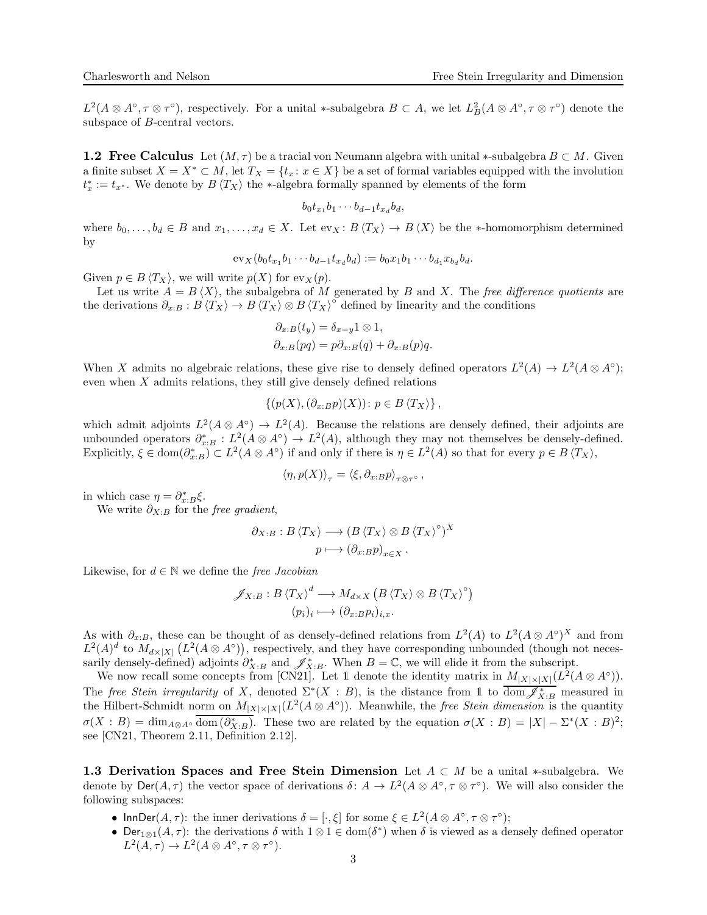$L^2(A\otimes A^\circ, \tau\otimes \tau^\circ)$ , respectively. For a unital \*-subalgebra  $B\subset A$ , we let  $L^2_B(A\otimes A^\circ, \tau\otimes \tau^\circ)$  denote the subspace of B-central vectors.

**1.2 Free Calculus** Let  $(M, \tau)$  be a tracial von Neumann algebra with unital ∗-subalgebra  $B \subset M$ . Given a finite subset  $X = X^* \subset M$ , let  $T_X = \{t_x : x \in X\}$  be a set of formal variables equipped with the involution  $t_x^* := t_{x^*}$ . We denote by  $B\langle T_X \rangle$  the ∗-algebra formally spanned by elements of the form

$$
b_0t_{x_1}b_1\cdots b_{d-1}t_{x_d}b_d,
$$

where  $b_0, \ldots, b_d \in B$  and  $x_1, \ldots, x_d \in X$ . Let  $ev_X : B\langle T_X \rangle \to B\langle X \rangle$  be the \*-homomorphism determined by

$$
ev_X(b_0t_{x_1}b_1\cdots b_{d-1}t_{x_d}b_d) := b_0x_1b_1\cdots b_{d_1}x_{b_d}b_d.
$$

Given  $p \in B\langle T_X \rangle$ , we will write  $p(X)$  for ev<sub>X</sub> $(p)$ .

Let us write  $A = B \langle X \rangle$ , the subalgebra of M generated by B and X. The free difference quotients are the derivations  $\partial_{x:B} : B \langle T_X \rangle \to B \langle T_X \rangle \otimes B \langle T_X \rangle^{\circ}$  defined by linearity and the conditions

$$
\partial_{x:B}(t_y) = \delta_{x=y} 1 \otimes 1,
$$
  

$$
\partial_{x:B}(pq) = p \partial_{x:B}(q) + \partial_{x:B}(p)q.
$$

When X admits no algebraic relations, these give rise to densely defined operators  $L^2(A) \to L^2(A \otimes A^{\circ})$ ; even when  $X$  admits relations, they still give densely defined relations

$$
\{(p(X),(\partial_{x:B}p)(X))\colon p\in B\langle T_X\rangle\}\,
$$

which admit adjoints  $L^2(A \otimes A^{\circ}) \to L^2(A)$ . Because the relations are densely defined, their adjoints are unbounded operators  $\partial_{x:B}^* : L^2(A \otimes A^{\circ}) \to L^2(A)$ , although they may not themselves be densely-defined. Explicitly,  $\xi \in \text{dom}(\partial_{x:B}^*) \subset L^2(A \otimes A^{\circ})$  if and only if there is  $\eta \in L^2(A)$  so that for every  $p \in B\langle T_X \rangle$ ,

$$
\langle \eta, p(X) \rangle_{\tau} = \langle \xi, \partial_{x:B} p \rangle_{\tau \otimes \tau^{\circ}},
$$

in which case  $\eta = \partial_{x:B}^* \xi$ .

We write  $\partial_{X:B}$  for the free gradient,

$$
\partial_{X:B} : B \langle T_X \rangle \longrightarrow (B \langle T_X \rangle \otimes B \langle T_X \rangle^{\circ})^X
$$

$$
p \longmapsto (\partial_{x:B} p)_{x \in X}.
$$

Likewise, for  $d \in \mathbb{N}$  we define the *free Jacobian* 

$$
\mathscr{J}_{X:B}: B \langle T_X \rangle^d \longrightarrow M_{d \times X} (B \langle T_X \rangle \otimes B \langle T_X \rangle^{\circ})
$$
  

$$
(p_i)_i \longmapsto (\partial_{x:B} p_i)_{i,x}.
$$

As with  $\partial_{x:B}$ , these can be thought of as densely-defined relations from  $L^2(A)$  to  $L^2(A \otimes A^{\circ})^X$  and from  $L^2(A)^d$  to  $M_{d\times|X|}$   $(L^2(A\otimes A^{\circ}))$ , respectively, and they have corresponding unbounded (though not necessarily densely-defined) adjoints  $\partial_{X:B}^*$  and  $\mathscr{J}_{X:B}^*$ . When  $B=\mathbb{C}$ , we will elide it from the subscript.

We now recall some concepts from [\[CN21\]](#page-21-0). Let 1 denote the identity matrix in  $M_{|X| \times |X|}(L^2(A \otimes A^{\circ}))$ . The free Stein irregularity of X, denoted  $\Sigma^*(X : B)$ , is the distance from 1 to  $\overline{\text{dom } \mathscr{J}_{X:B}^*}$  measured in the Hilbert-Schmidt norm on  $M_{|X| \times |X|}(L^2(A \otimes A^{\circ}))$ . Meanwhile, the *free Stein dimension* is the quantity  $\sigma(X : B) = \dim_{A \otimes A} \circ \overline{\text{dom}(\partial_{X:B}^*)}$ . These two are related by the equation  $\sigma(X : B) = |X| - \Sigma^*(X : B)^2$ ; see [\[CN21,](#page-21-0) Theorem 2.11, Definition 2.12].

<span id="page-2-0"></span>1.3 Derivation Spaces and Free Stein Dimension Let  $A \subset M$  be a unital \*-subalgebra. We denote by  $\text{Der}(A, \tau)$  the vector space of derivations  $\delta: A \to L^2(A \otimes A^{\circ}, \tau \otimes \tau^{\circ})$ . We will also consider the following subspaces:

- InnDer( $A, \tau$ ): the inner derivations  $\delta = [\cdot, \xi]$  for some  $\xi \in L^2(A \otimes A^\circ, \tau \otimes \tau^\circ);$
- $Der_{1\otimes 1}(A,\tau)$ : the derivations  $\delta$  with  $1\otimes 1 \in \text{dom}(\delta^*)$  when  $\delta$  is viewed as a densely defined operator  $L^2(A,\tau) \to L^2(A \otimes A^\circ, \tau \otimes \tau^\circ).$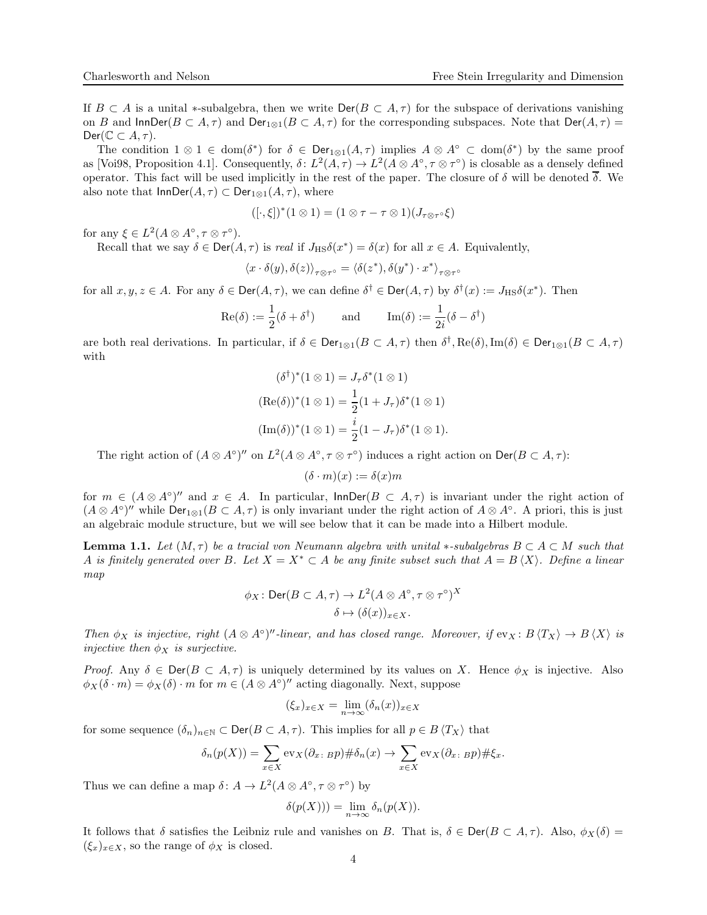If  $B \subset A$  is a unital ∗-subalgebra, then we write  $\text{Der}(B \subset A, \tau)$  for the subspace of derivations vanishing on B and  $\textsf{InnDer}(B \subset A, \tau)$  and  $\textsf{Der}_{1\otimes 1}(B \subset A, \tau)$  for the corresponding subspaces. Note that  $\textsf{Der}(A, \tau)$  =  $Der(\mathbb{C} \subset A, \tau).$ 

The condition  $1 \otimes 1 \in \text{dom}(\delta^*)$  for  $\delta \in \text{Der}_{1 \otimes 1}(A, \tau)$  implies  $A \otimes A^{\circ} \subset \text{dom}(\delta^*)$  by the same proof as [\[Voi98,](#page-21-1) Proposition 4.1]. Consequently,  $\delta: L^2(A, \tau) \to L^2(A \otimes A^{\circ}, \tau \otimes \tau^{\circ})$  is closable as a densely defined operator. This fact will be used implicitly in the rest of the paper. The closure of  $\delta$  will be denoted  $\overline{\delta}$ . We also note that  $\text{InnDer}(A, \tau) \subset \text{Der}_{1\otimes 1}(A, \tau)$ , where

$$
([\cdot,\xi])^*(1\otimes 1)=(1\otimes \tau-\tau\otimes 1)(J_{\tau\otimes \tau}\circ \xi)
$$

for any  $\xi \in L^2(A \otimes A^\circ, \tau \otimes \tau^\circ)$ .

Recall that we say  $\delta \in \text{Der}(A, \tau)$  is real if  $J_{\text{HS}}\delta(x^*) = \delta(x)$  for all  $x \in A$ . Equivalently,

$$
\langle x\cdot\delta(y),\delta(z)\rangle_{\tau\otimes\tau^\circ}=\langle\delta(z^*),\delta(y^*)\cdot x^*\rangle_{\tau\otimes\tau^\circ}
$$

for all  $x, y, z \in A$ . For any  $\delta \in \text{Der}(A, \tau)$ , we can define  $\delta^{\dagger} \in \text{Der}(A, \tau)$  by  $\delta^{\dagger}(x) := J_{\text{HS}}\delta(x^*)$ . Then

$$
\operatorname{Re}(\delta) := \frac{1}{2}(\delta + \delta^{\dagger}) \quad \text{and} \quad \operatorname{Im}(\delta) := \frac{1}{2i}(\delta - \delta^{\dagger})
$$

are both real derivations. In particular, if  $\delta \in \text{Der}_{1\otimes 1}(B \subset A, \tau)$  then  $\delta^{\dagger}$ ,  $\text{Re}(\delta)$ ,  $\text{Im}(\delta) \in \text{Der}_{1\otimes 1}(B \subset A, \tau)$ with

$$
(\delta^{\dagger})^*(1 \otimes 1) = J_{\tau} \delta^*(1 \otimes 1)
$$

$$
(\text{Re}(\delta))^*(1 \otimes 1) = \frac{1}{2}(1 + J_{\tau})\delta^*(1 \otimes 1)
$$

$$
(\text{Im}(\delta))^*(1 \otimes 1) = \frac{i}{2}(1 - J_{\tau})\delta^*(1 \otimes 1).
$$

The right action of  $(A \otimes A^{\circ})''$  on  $L^2(A \otimes A^{\circ}, \tau \otimes \tau^{\circ})$  induces a right action on  $\textsf{Der}(B \subset A, \tau)$ :

$$
(\delta\cdot m)(x):=\delta(x)m
$$

for  $m \in (A \otimes A^{\circ})''$  and  $x \in A$ . In particular,  $\textsf{InnDer}(B \subset A, \tau)$  is invariant under the right action of  $(A \otimes A^{\circ})''$  while  $Der_{1\otimes 1}(B \subset A, \tau)$  is only invariant under the right action of  $A \otimes A^{\circ}$ . A priori, this is just an algebraic module structure, but we will see below that it can be made into a Hilbert module.

<span id="page-3-0"></span>**Lemma 1.1.** Let  $(M, \tau)$  be a tracial von Neumann algebra with unital ∗-subalgebras  $B \subset A \subset M$  such that A is finitely generated over B. Let  $X = X^* \subset A$  be any finite subset such that  $A = B \langle X \rangle$ . Define a linear map

$$
\phi_X \colon \text{Der}(B \subset A, \tau) \to L^2(A \otimes A^\circ, \tau \otimes \tau^\circ)^X
$$

$$
\delta \mapsto (\delta(x))_{x \in X}.
$$

 $\ddot{x}$ 

Then  $\phi_X$  is injective, right  $(A \otimes A^{\circ})''$ -linear, and has closed range. Moreover, if  $ev_X : B \langle T_X \rangle \to B \langle X \rangle$  is injective then  $\phi_X$  is surjective.

Proof. Any  $\delta \in \text{Der}(B \subset A, \tau)$  is uniquely determined by its values on X. Hence  $\phi_X$  is injective. Also  $\phi_X(\delta \cdot m) = \phi_X(\delta) \cdot m$  for  $m \in (A \otimes A^{\circ})''$  acting diagonally. Next, suppose

$$
(\xi_x)_{x \in X} = \lim_{n \to \infty} (\delta_n(x))_{x \in X}
$$

for some sequence  $(\delta_n)_{n\in\mathbb{N}}\subset \text{Der}(B\subset A,\tau)$ . This implies for all  $p\in B\langle T_X\rangle$  that

$$
\delta_n(p(X)) = \sum_{x \in X} \text{ev}_X(\partial_x, \, Bp) \# \delta_n(x) \to \sum_{x \in X} \text{ev}_X(\partial_x, \, Bp) \# \xi_x.
$$

Thus we can define a map  $\delta: A \to L^2(A \otimes A^\circ, \tau \otimes \tau^\circ)$  by

$$
\delta(p(X))) = \lim_{n \to \infty} \delta_n(p(X)).
$$

It follows that  $\delta$  satisfies the Leibniz rule and vanishes on B. That is,  $\delta \in \text{Der}(B \subset A, \tau)$ . Also,  $\phi_X(\delta) =$  $(\xi_x)_{x\in X}$ , so the range of  $\phi_X$  is closed.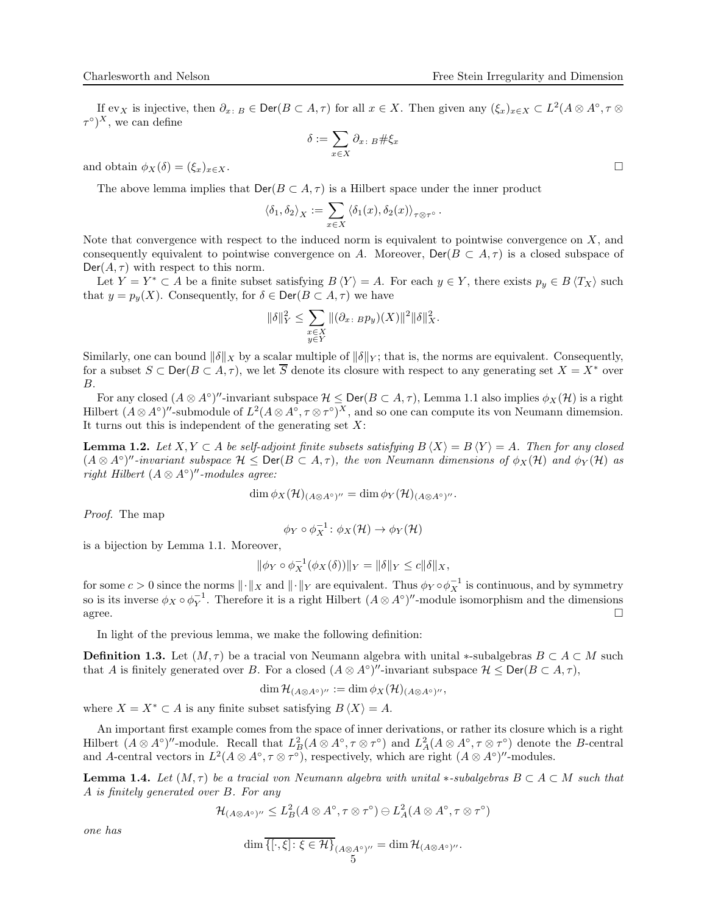If  $ev_X$  is injective, then  $\partial_x : B \in \text{Der}(B \subset A, \tau)$  for all  $x \in X$ . Then given any  $(\xi_x)_{x \in X} \subset L^2(A \otimes A^{\circ}, \tau \otimes$  $(\tau^{\circ})^X$ , we can define

$$
\delta:=\sum_{x\in X}\partial_{x\colon B}\#\xi_x
$$

and obtain  $\phi_X(\delta) = (\xi_x)_{x \in X}$ .

The above lemma implies that  $\text{Der}(B \subset A, \tau)$  is a Hilbert space under the inner product

$$
\langle \delta_1, \delta_2 \rangle_X := \sum_{x \in X} \langle \delta_1(x), \delta_2(x) \rangle_{\tau \otimes \tau^{\circ}}.
$$

Note that convergence with respect to the induced norm is equivalent to pointwise convergence on  $X$ , and consequently equivalent to pointwise convergence on A. Moreover,  $\text{Der}(B \subset A, \tau)$  is a closed subspace of  $Der(A, \tau)$  with respect to this norm.

Let  $Y = Y^* \subset A$  be a finite subset satisfying  $B \langle Y \rangle = A$ . For each  $y \in Y$ , there exists  $p_y \in B \langle T_X \rangle$  such that  $y = p_y(X)$ . Consequently, for  $\delta \in \text{Der}(B \subset A, \tau)$  we have

$$
\|\delta\|_Y^2 \le \sum_{\substack{x \in X \\ y \in Y}} \|(\partial_x, Bp_y)(X)\|^2 \|\delta\|_X^2.
$$

Similarly, one can bound  $\|\delta\|_X$  by a scalar multiple of  $\|\delta\|_Y$ ; that is, the norms are equivalent. Consequently, for a subset  $S \subset \text{Der}(B \subset A, \tau)$ , we let  $\overline{S}$  denote its closure with respect to any generating set  $X = X^*$  over B.

For any closed  $(A \otimes A^{\circ})''$ -invariant subspace  $\mathcal{H} \leq \text{Der}(B \subset A, \tau)$ , Lemma [1.1](#page-3-0) also implies  $\phi_X(\mathcal{H})$  is a right Hilbert  $(A \otimes A^{\circ})''$ -submodule of  $L^2(A \otimes A^{\circ}, \tau \otimes \tau^{\circ})^X$ , and so one can compute its von Neumann dimemsion. It turns out this is independent of the generating set  $X$ :

**Lemma 1.2.** Let  $X, Y \subset A$  be self-adjoint finite subsets satisfying  $B \langle X \rangle = B \langle Y \rangle = A$ . Then for any closed  $(A \otimes A^{\circ})''$ -invariant subspace  $\mathcal{H} \leq \text{Der}(B \subset A, \tau)$ , the von Neumann dimensions of  $\phi_X(\mathcal{H})$  and  $\phi_Y(\mathcal{H})$  as right Hilbert  $(A \otimes A^{\circ})''$ -modules agree:

$$
\dim \phi_X(\mathcal{H})_{(A\otimes A^\circ)''}=\dim \phi_Y(\mathcal{H})_{(A\otimes A^\circ)''}.
$$

Proof. The map

$$
\phi_Y \circ \phi_X^{-1} \colon \phi_X(\mathcal{H}) \to \phi_Y(\mathcal{H})
$$

is a bijection by Lemma [1.1.](#page-3-0) Moreover,

$$
\|\phi_Y \circ \phi_X^{-1}(\phi_X(\delta))\|_Y = \|\delta\|_Y \le c\|\delta\|_X,
$$

for some  $c > 0$  since the norms  $\|\cdot\|_X$  and  $\|\cdot\|_Y$  are equivalent. Thus  $\phi_Y \circ \phi_X^{-1}$  is continuous, and by symmetry so is its inverse  $\phi_X \circ \phi_Y^{-1}$ . Therefore it is a right Hilbert  $(A \otimes A^{\circ})''$ -module isomorphism and the dimensions  $\Box$  agree.

In light of the previous lemma, we make the following definition:

**Definition 1.3.** Let  $(M, \tau)$  be a tracial von Neumann algebra with unital ∗-subalgebras  $B \subset A \subset M$  such that A is finitely generated over B. For a closed  $(A \otimes A^{\circ})''$ -invariant subspace  $\mathcal{H} \leq \text{Der}(B \subset A, \tau)$ ,

$$
\dim \mathcal{H}_{(A\otimes A^{\circ})''} := \dim \phi_X(\mathcal{H})_{(A\otimes A^{\circ})''},
$$

where  $X = X^* \subset A$  is any finite subset satisfying  $B\langle X \rangle = A$ .

An important first example comes from the space of inner derivations, or rather its closure which is a right Hilbert  $(A \otimes A^{\circ})''$ -module. Recall that  $L^2_B(A \otimes A^{\circ}, \tau \otimes \tau^{\circ})$  and  $L^2_A(A \otimes A^{\circ}, \tau \otimes \tau^{\circ})$  denote the B-central and A-central vectors in  $L^2(A \otimes A^\circ, \tau \otimes \tau^\circ)$ , respectively, which are right  $(A \otimes A^\circ)''$ -modules.

<span id="page-4-0"></span>**Lemma 1.4.** Let  $(M, \tau)$  be a tracial von Neumann algebra with unital ∗-subalgebras  $B \subset A \subset M$  such that A is finitely generated over B. For any

$$
\mathcal{H}_{(A\otimes A^\circ)''}\leq L_B^2(A\otimes A^\circ,\tau\otimes \tau^\circ)\ominus L_A^2(A\otimes A^\circ,\tau\otimes \tau^\circ)
$$

one has

$$
\dim \overline{\{[\cdot,\xi] : \xi \in \mathcal{H}\}}_{(A \otimes A^{\circ})''} = \dim \mathcal{H}_{(A \otimes A^{\circ})''}.
$$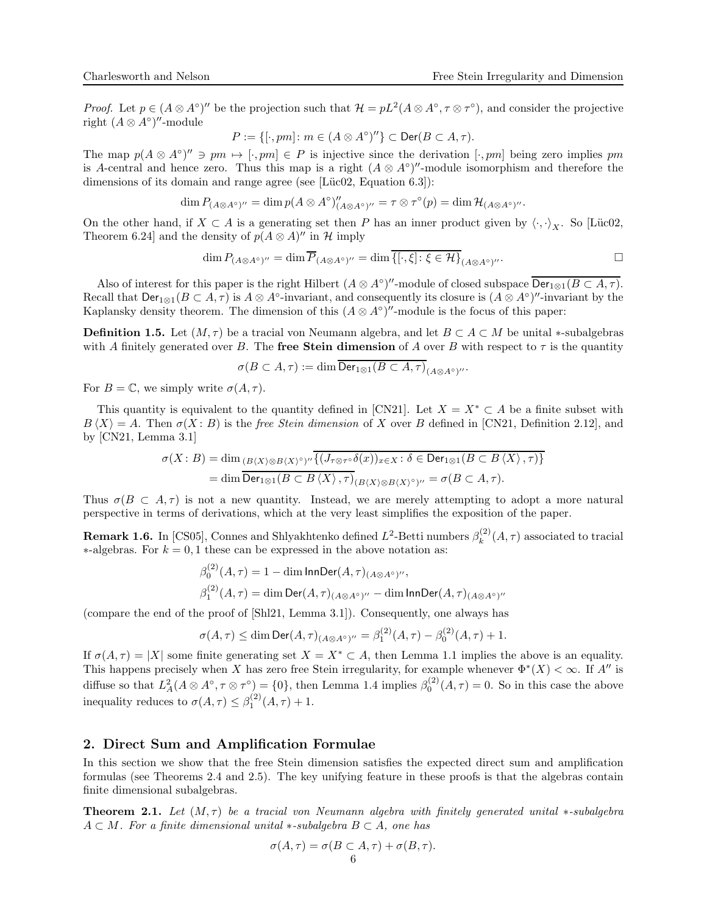*Proof.* Let  $p \in (A \otimes A^{\circ})''$  be the projection such that  $\mathcal{H} = pL^2(A \otimes A^{\circ}, \tau \otimes \tau^{\circ})$ , and consider the projective right  $(A \otimes A^{\circ})''$ -module

$$
P:=\{[\cdot, pm] \colon m\in (A\otimes A^\circ)''\} \subset \mathsf{Der}(B\subset A, \tau).
$$

The map  $p(A \otimes A^{\circ})'' \ni pm \mapsto [\cdot, pm] \in P$  is injective since the derivation  $[\cdot, pm]$  being zero implies pm is A-central and hence zero. Thus this map is a right  $(A \otimes A<sup>o</sup>)''$ -module isomorphism and therefore the dimensions of its domain and range agree (see [Lüc02, Equation 6.3]):

$$
\dim P_{(A\otimes A^{\circ})''} = \dim p(A\otimes A^{\circ})''_{(A\otimes A^{\circ})''} = \tau \otimes \tau^{\circ}(p) = \dim \mathcal{H}_{(A\otimes A^{\circ})''}.
$$

On the other hand, if  $X \subset A$  is a generating set then P has an inner product given by  $\langle \cdot, \cdot \rangle_X$ . So [Lüc02, Theorem 6.24] and the density of  $p(A \otimes A)''$  in  $\mathcal H$  imply

$$
\dim P_{(A\otimes A^{\circ})''} = \dim \overline{P}_{(A\otimes A^{\circ})''} = \dim \overline{\{[\cdot,\xi] : \xi \in \mathcal{H}\}}_{(A\otimes A^{\circ})''}.
$$

Also of interest for this paper is the right Hilbert  $(A \otimes A^{\circ})''$ -module of closed subspace  $\overline{\text{Der}_{1\otimes 1}(B \subset A, \tau)}$ . Recall that  $\textsf{Der}_{1\otimes 1}(B \subset A, \tau)$  is  $A \otimes A^{\circ}$ -invariant, and consequently its closure is  $(A \otimes A^{\circ})''$ -invariant by the Kaplansky density theorem. The dimension of this  $(A \otimes A<sup>o</sup>)''$ -module is the focus of this paper:

<span id="page-5-0"></span>**Definition 1.5.** Let  $(M, \tau)$  be a tracial von Neumann algebra, and let  $B \subset A \subset M$  be unital \*-subalgebras with A finitely generated over B. The free Stein dimension of A over B with respect to  $\tau$  is the quantity

$$
\sigma(B\subset A,\tau):=\dim\overline{{\rm Der}_{1\otimes 1}(B\subset A,\tau)}_{(A\otimes A^\circ)''}.
$$

For  $B = \mathbb{C}$ , we simply write  $\sigma(A, \tau)$ .

This quantity is equivalent to the quantity defined in [\[CN21\]](#page-21-0). Let  $X = X^* \subset A$  be a finite subset with  $B\langle X\rangle = A$ . Then  $\sigma(X : B)$  is the free Stein dimension of X over B defined in [\[CN21,](#page-21-0) Definition 2.12], and by [\[CN21,](#page-21-0) Lemma 3.1]

$$
\sigma(X:B) = \dim_{(B\langle X\rangle \otimes B\langle X\rangle^{\circ})''} \overline{\{(J_{\tau \otimes \tau^{\circ}}\delta(x))_{x \in X} : \delta \in \text{Der}_{1\otimes 1}(B \subset B\langle X\rangle, \tau)\}}
$$
  
= 
$$
\dim \overline{\text{Der}_{1\otimes 1}(B \subset B\langle X\rangle, \tau)}_{(B\langle X\rangle \otimes B\langle X\rangle^{\circ})''} = \sigma(B \subset A, \tau).
$$

Thus  $\sigma(B \subset A, \tau)$  is not a new quantity. Instead, we are merely attempting to adopt a more natural perspective in terms of derivations, which at the very least simplifies the exposition of the paper.

**Remark 1.6.** In [\[CS05\]](#page-21-5), Connes and Shlyakhtenko defined  $L^2$ -Betti numbers  $\beta_k^{(2)}$  $\binom{2}{k}(A,\tau)$  associated to tracial  $*$ -algebras. For  $k = 0, 1$  these can be expressed in the above notation as:

$$
\beta_0^{(2)}(A,\tau) = 1 - \dim \text{InnDer}(A,\tau)_{(A \otimes A^\circ)''},
$$
  

$$
\beta_1^{(2)}(A,\tau) = \dim \text{Der}(A,\tau)_{(A \otimes A^\circ)''} - \dim \text{InnDer}(A,\tau)_{(A \otimes A^\circ)''}
$$

(compare the end of the proof of [\[Shl21,](#page-21-6) Lemma 3.1]). Consequently, one always has

$$
\sigma(A,\tau) \le \dim \text{Der}(A,\tau)_{(A \otimes A^{\circ})''} = \beta_1^{(2)}(A,\tau) - \beta_0^{(2)}(A,\tau) + 1.
$$

If  $\sigma(A, \tau) = |X|$  some finite generating set  $X = X^* \subset A$ , then Lemma [1.1](#page-3-0) implies the above is an equality. This happens precisely when X has zero free Stein irregularity, for example whenever  $\Phi^*(X) < \infty$ . If A'' is diffuse so that  $L^2_A(A \otimes A^\circ, \tau \otimes \tau^\circ) = \{0\}$ , then Lemma [1.4](#page-4-0) implies  $\beta_0^{(2)}(A, \tau) = 0$ . So in this case the above inequality reduces to  $\sigma(A, \tau) \leq \beta_1^{(2)}(A, \tau) + 1$ .

### <span id="page-5-1"></span>2. Direct Sum and Amplification Formulae

In this section we show that the free Stein dimension satisfies the expected direct sum and amplification formulas (see Theorems [2.4](#page-7-0) and [2.5\)](#page-7-2). The key unifying feature in these proofs is that the algebras contain finite dimensional subalgebras.

<span id="page-5-2"></span>**Theorem 2.1.** Let  $(M, \tau)$  be a tracial von Neumann algebra with finitely generated unital ∗-subalgebra  $A \subset M$ . For a finite dimensional unital  $\ast$ -subalgebra  $B \subset A$ , one has

$$
\sigma(A,\tau) = \sigma(B \subset A, \tau) + \sigma(B, \tau).
$$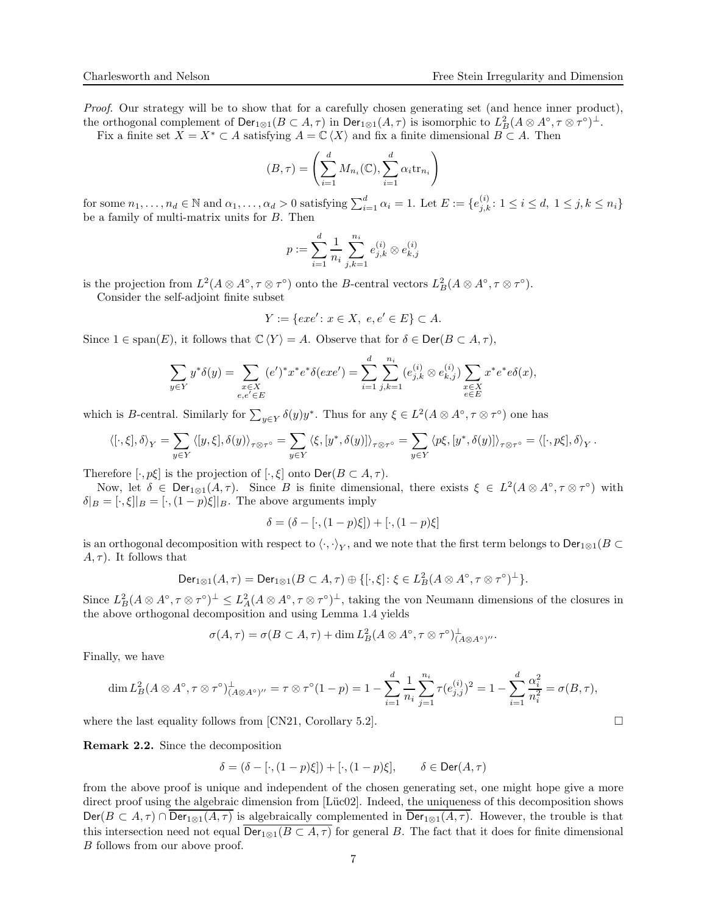Proof. Our strategy will be to show that for a carefully chosen generating set (and hence inner product), the orthogonal complement of  $\textsf{Der}_{1\otimes 1}(B \subset A, \tau)$  in  $\textsf{Der}_{1\otimes 1}(A, \tau)$  is isomorphic to  $L^2_B(A \otimes A^{\circ}, \tau \otimes \tau^{\circ})^{\perp}$ .

Fix a finite set  $X = X^* \subset A$  satisfying  $A = \mathbb{C}\langle X \rangle$  and fix a finite dimensional  $B \subset A$ . Then

$$
(B, \tau) = \left(\sum_{i=1}^{d} M_{n_i}(\mathbb{C}), \sum_{i=1}^{d} \alpha_i \text{tr}_{n_i}\right)
$$

for some  $n_1, \ldots, n_d \in \mathbb{N}$  and  $\alpha_1, \ldots, \alpha_d > 0$  satisfying  $\sum_{i=1}^d \alpha_i = 1$ . Let  $E := \{e_{j,k}^{(i)} : 1 \le i \le d, 1 \le j, k \le n_i\}$ be a family of multi-matrix units for B. Then

$$
p := \sum_{i=1}^d \frac{1}{n_i} \sum_{j,k=1}^{n_i} e_{j,k}^{(i)} \otimes e_{k,j}^{(i)}
$$

is the projection from  $L^2(A \otimes A^\circ, \tau \otimes \tau^\circ)$  onto the B-central vectors  $L^2_B(A \otimes A^\circ, \tau \otimes \tau^\circ)$ .

Consider the self-adjoint finite subset

$$
Y := \{exe' : x \in X, \ e, e' \in E\} \subset A.
$$

Since  $1 \in \text{span}(E)$ , it follows that  $\mathbb{C}\langle Y \rangle = A$ . Observe that for  $\delta \in \text{Der}(B \subset A, \tau)$ ,

$$
\sum_{y \in Y} y^* \delta(y) = \sum_{\substack{x \in X \\ e, e' \in E}} (e')^* x^* e^* \delta(exe') = \sum_{i=1}^d \sum_{j,k=1}^{n_i} (e_{j,k}^{(i)} \otimes e_{k,j}^{(i)}) \sum_{\substack{x \in X \\ e \in E}} x^* e^* e \delta(x),
$$

which is *B*-central. Similarly for  $\sum_{y \in Y} \delta(y)y^*$ . Thus for any  $\xi \in L^2(A \otimes A^{\circ}, \tau \otimes \tau^{\circ})$  one has

$$
\left\langle [\cdot,\xi],\delta\right\rangle_Y=\sum_{y\in Y}\left\langle [y,\xi],\delta(y)\right\rangle_{\tau\otimes\tau^\circ}=\sum_{y\in Y}\left\langle \xi,[y^*,\delta(y)]\right\rangle_{\tau\otimes\tau^\circ}=\sum_{y\in Y}\left\langle p\xi,[y^*,\delta(y)]\right\rangle_{\tau\otimes\tau^\circ}=\left\langle [\cdot,p\xi],\delta\right\rangle_Y.
$$

Therefore  $[\cdot, p\xi]$  is the projection of  $[\cdot, \xi]$  onto  $\text{Der}(B \subset A, \tau)$ .

Now, let  $\delta \in \text{Der}_{1\otimes 1}(A,\tau)$ . Since B is finite dimensional, there exists  $\xi \in L^2(A\otimes A^\circ, \tau \otimes \tau^\circ)$  with  $\delta|B = [\cdot, \xi]|B = [\cdot, (1-p)\xi]|B$ . The above arguments imply

$$
\delta = (\delta - [\cdot, (1-p)\xi]) + [\cdot, (1-p)\xi]
$$

is an orthogonal decomposition with respect to  $\langle \cdot, \cdot \rangle_Y$ , and we note that the first term belongs to  $\mathsf{Der}_{1\otimes 1}(B \subset$  $(A, \tau)$ . It follows that

$$
\mathsf{Der}_{1\otimes 1}(A,\tau)=\mathsf{Der}_{1\otimes 1}(B\subset A,\tau)\oplus\{[\cdot,\xi]\colon \xi\in L^2_B(A\otimes A^\circ,\tau\otimes \tau^\circ)^\perp\}.
$$

Since  $L^2_B(A\otimes A^\circ, \tau\otimes \tau^\circ)^{\perp} \leq L^2_A(A\otimes A^\circ, \tau\otimes \tau^\circ)^{\perp}$ , taking the von Neumann dimensions of the closures in the above orthogonal decomposition and using Lemma [1.4](#page-4-0) yields

$$
\sigma(A,\tau)=\sigma(B\subset A,\tau)+\dim L_B^2(A\otimes A^\circ,\tau\otimes \tau^\circ)^{\perp}_{(A\otimes A^\circ)^{\prime\prime}}.
$$

Finally, we have

$$
\dim L_B^2(A \otimes A^\circ, \tau \otimes \tau^\circ)^{\perp}_{(A \otimes A^\circ)''} = \tau \otimes \tau^\circ (1 - p) = 1 - \sum_{i=1}^d \frac{1}{n_i} \sum_{j=1}^{n_i} \tau(e_{j,j}^{(i)})^2 = 1 - \sum_{i=1}^d \frac{\alpha_i^2}{n_i^2} = \sigma(B, \tau),
$$

where the last equality follows from [\[CN21,](#page-21-0) Corollary 5.2].  $\Box$ 

Remark 2.2. Since the decomposition

$$
\delta = (\delta - [\cdot, (1-p)\xi]) + [\cdot, (1-p)\xi], \qquad \delta \in \text{Der}(A, \tau)
$$

from the above proof is unique and independent of the chosen generating set, one might hope give a more direct proof using the algebraic dimension from [Lüc02]. Indeed, the uniqueness of this decomposition shows  $\textsf{Der}(B \subset A, \tau) \cap \overline{\textsf{Der}_{1\otimes 1}(A,\tau)}$  is algebraically complemented in  $\overline{\textsf{Der}_{1\otimes 1}(A,\tau)}$ . However, the trouble is that this intersection need not equal  $\overline{\mathsf{Der}_{1\otimes 1}(B \subset A, \tau)}$  for general B. The fact that it does for finite dimensional B follows from our above proof.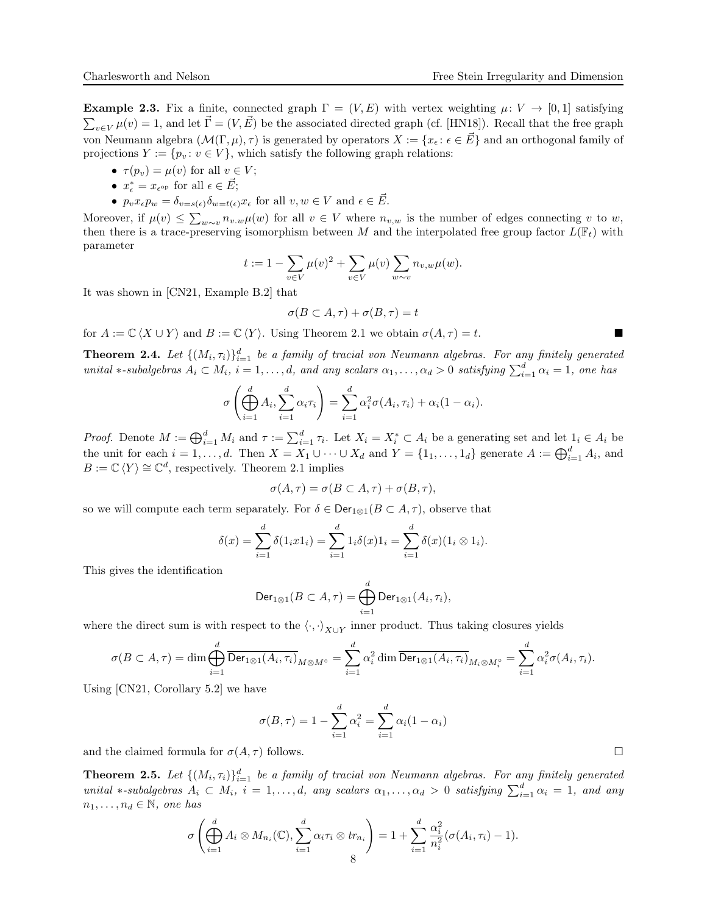<span id="page-7-1"></span>**Example 2.3.** Fix a finite, connected graph  $\Gamma = (V, E)$  with vertex weighting  $\mu: V \to [0, 1]$  satisfying  $\sum_{v \in V} \mu(v) = 1$ , and let  $\vec{\Gamma} = (V, \vec{E})$  be the associated directed graph (cf. [\[HN18\]](#page-21-7)). Recall that the free graph von Neumann algebra  $(\mathcal{M}(\Gamma,\mu),\tau)$  is generated by operators  $X := \{x_{\epsilon} : \epsilon \in \vec{E}\}\$ and an orthogonal family of projections  $Y := \{p_v : v \in V\}$ , which satisfy the following graph relations:

- $\tau(p_v) = \mu(v)$  for all  $v \in V$ ;
- $x_{\epsilon}^* = x_{\epsilon^{\rm op}}$  for all  $\epsilon \in \vec{E}$ ;
- $p_v x_{\epsilon} p_w = \delta_{v=s(\epsilon)} \delta_{w=t(\epsilon)} x_{\epsilon}$  for all  $v, w \in V$  and  $\epsilon \in \vec{E}$ .

Moreover, if  $\mu(v) \leq \sum_{w \sim v} n_{v,w}\mu(w)$  for all  $v \in V$  where  $n_{v,w}$  is the number of edges connecting v to w, then there is a trace-preserving isomorphism between M and the interpolated free group factor  $L(\mathbb{F}_t)$  with parameter

$$
t := 1 - \sum_{v \in V} \mu(v)^2 + \sum_{v \in V} \mu(v) \sum_{w \sim v} n_{v,w} \mu(w).
$$

It was shown in [\[CN21,](#page-21-0) Example B.2] that

$$
\sigma(B\subset A,\tau)+\sigma(B,\tau)=t
$$

for  $A := \mathbb{C} \langle X \cup Y \rangle$  and  $B := \mathbb{C} \langle Y \rangle$ . Using Theorem [2.1](#page-5-2) we obtain  $\sigma(A, \tau) = t$ .

<span id="page-7-0"></span>**Theorem 2.4.** Let  $\{(M_i, \tau_i)\}_{i=1}^d$  be a family of tracial von Neumann algebras. For any finitely generated unital \*-subalgebras  $A_i \subset M_i$ ,  $i = 1, ..., d$ , and any scalars  $\alpha_1, ..., \alpha_d > 0$  satisfying  $\sum_{i=1}^d \alpha_i = 1$ , one has

$$
\sigma\left(\bigoplus_{i=1}^d A_i, \sum_{i=1}^d \alpha_i \tau_i\right) = \sum_{i=1}^d \alpha_i^2 \sigma(A_i, \tau_i) + \alpha_i (1 - \alpha_i).
$$

*Proof.* Denote  $M := \bigoplus_{i=1}^d M_i$  and  $\tau := \sum_{i=1}^d \tau_i$ . Let  $X_i = X_i^* \subset A_i$  be a generating set and let  $1_i \in A_i$  be the unit for each  $i = 1, ..., d$ . Then  $X = X_1 \cup \cdots \cup X_d$  and  $Y = \{1_1, ..., 1_d\}$  generate  $A := \bigoplus_{i=1}^d A_i$ , and  $B := \mathbb{C} \langle Y \rangle \cong \mathbb{C}^d$ , respectively. Theorem [2.1](#page-5-2) implies

$$
\sigma(A,\tau) = \sigma(B \subset A, \tau) + \sigma(B, \tau),
$$

so we will compute each term separately. For  $\delta \in \text{Der}_{1\otimes 1}(B \subset A, \tau)$ , observe that

$$
\delta(x) = \sum_{i=1}^{d} \delta(1_i x 1_i) = \sum_{i=1}^{d} 1_i \delta(x) 1_i = \sum_{i=1}^{d} \delta(x) (1_i \otimes 1_i).
$$

This gives the identification

$$
\mathsf{Der}_{1\otimes 1}(B\subset A,\tau)=\bigoplus_{i=1}^d\mathsf{Der}_{1\otimes 1}(A_i,\tau_i),
$$

where the direct sum is with respect to the  $\langle \cdot, \cdot \rangle_{X\cup Y}$  inner product. Thus taking closures yields

$$
\sigma(B \subset A, \tau) = \dim \bigoplus_{i=1}^d \overline{\text{Der}_{1 \otimes 1}(A_i, \tau_i)}_{M \otimes M^{\circ}} = \sum_{i=1}^d \alpha_i^2 \dim \overline{\text{Der}_{1 \otimes 1}(A_i, \tau_i)}_{M_i \otimes M_i^{\circ}} = \sum_{i=1}^d \alpha_i^2 \sigma(A_i, \tau_i).
$$

Using [\[CN21,](#page-21-0) Corollary 5.2] we have

$$
\sigma(B, \tau) = 1 - \sum_{i=1}^{d} \alpha_i^2 = \sum_{i=1}^{d} \alpha_i (1 - \alpha_i)
$$

and the claimed formula for  $\sigma(A, \tau)$  follows.

<span id="page-7-2"></span>**Theorem 2.5.** Let  $\{(M_i, \tau_i)\}_{i=1}^d$  be a family of tracial von Neumann algebras. For any finitely generated unital \*-subalgebras  $A_i \subset M_i$ ,  $i = 1, ..., d$ , any scalars  $\alpha_1, ..., \alpha_d > 0$  satisfying  $\sum_{i=1}^d \alpha_i = 1$ , and any  $n_1, \ldots, n_d \in \mathbb{N}$ , one has

$$
\sigma\left(\bigoplus_{i=1}^d A_i \otimes M_{n_i}(\mathbb{C}), \sum_{i=1}^d \alpha_i \tau_i \otimes tr_{n_i}\right) = 1 + \sum_{i=1}^d \frac{\alpha_i^2}{n_i^2} (\sigma(A_i, \tau_i) - 1).
$$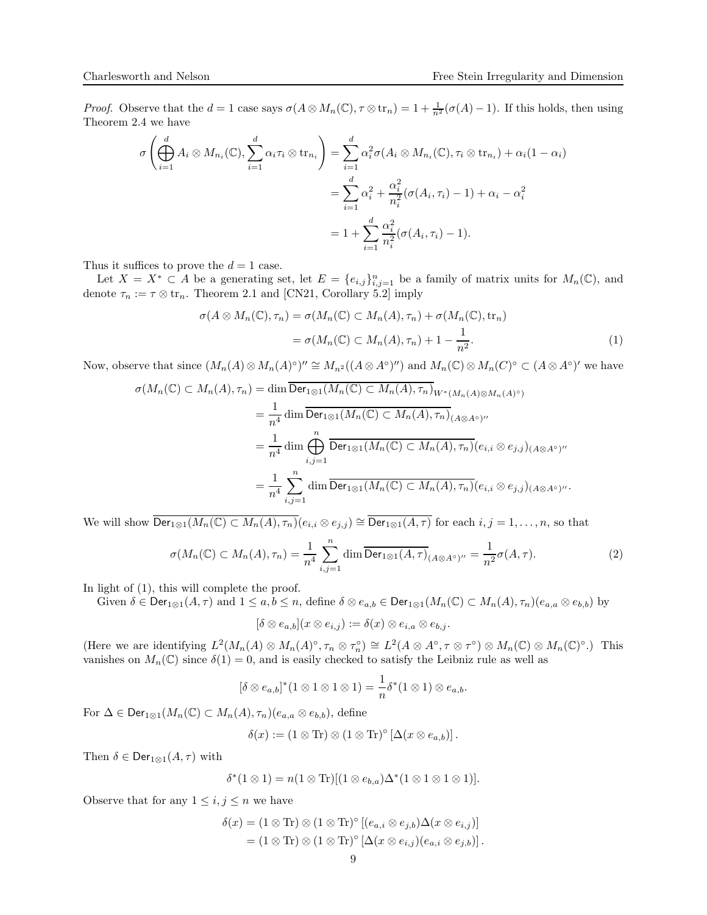*Proof.* Observe that the  $d = 1$  case says  $\sigma(A \otimes M_n(\mathbb{C}), \tau \otimes \text{tr}_n) = 1 + \frac{1}{n^2}(\sigma(A) - 1)$ . If this holds, then using Theorem [2.4](#page-7-0) we have

$$
\sigma\left(\bigoplus_{i=1}^{d} A_i \otimes M_{n_i}(\mathbb{C}), \sum_{i=1}^{d} \alpha_i \tau_i \otimes \operatorname{tr}_{n_i}\right) = \sum_{i=1}^{d} \alpha_i^2 \sigma(A_i \otimes M_{n_i}(\mathbb{C}), \tau_i \otimes \operatorname{tr}_{n_i}) + \alpha_i (1 - \alpha_i)
$$

$$
= \sum_{i=1}^{d} \alpha_i^2 + \frac{\alpha_i^2}{n_i^2} (\sigma(A_i, \tau_i) - 1) + \alpha_i - \alpha_i^2
$$

$$
= 1 + \sum_{i=1}^{d} \frac{\alpha_i^2}{n_i^2} (\sigma(A_i, \tau_i) - 1).
$$

Thus it suffices to prove the  $d = 1$  case.

Let  $X = X^* \subset A$  be a generating set, let  $E = \{e_{i,j}\}_{i,j=1}^n$  be a family of matrix units for  $M_n(\mathbb{C})$ , and denote  $\tau_n := \tau \otimes \text{tr}_n$ . Theorem [2.1](#page-5-2) and [\[CN21,](#page-21-0) Corollary 5.2] imply

<span id="page-8-0"></span>
$$
\sigma(A \otimes M_n(\mathbb{C}), \tau_n) = \sigma(M_n(\mathbb{C}) \subset M_n(A), \tau_n) + \sigma(M_n(\mathbb{C}), \text{tr}_n)
$$
  
=  $\sigma(M_n(\mathbb{C}) \subset M_n(A), \tau_n) + 1 - \frac{1}{n^2}.$  (1)

Now, observe that since  $(M_n(A) \otimes M_n(A)^\circ)' \cong M_{n^2}((A \otimes A^\circ)'')$  and  $M_n(\mathbb{C}) \otimes M_n(C)^\circ \subset (A \otimes A^\circ)'$  we have

$$
\sigma(M_n(\mathbb{C}) \subset M_n(A), \tau_n) = \dim \overline{\text{Der}_{1\otimes 1}(M_n(\mathbb{C}) \subset M_n(A), \tau_n)}_{W^*(M_n(A)\otimes M_n(A)^{\circ})}
$$
  
\n
$$
= \frac{1}{n^4} \dim \overline{\text{Der}_{1\otimes 1}(M_n(\mathbb{C}) \subset M_n(A), \tau_n)}_{(A\otimes A^{\circ})''}
$$
  
\n
$$
= \frac{1}{n^4} \dim \bigoplus_{i,j=1}^n \overline{\text{Der}_{1\otimes 1}(M_n(\mathbb{C}) \subset M_n(A), \tau_n)}_{(e_{i,i} \otimes e_{j,j})_{(A\otimes A^{\circ})''}}
$$
  
\n
$$
= \frac{1}{n^4} \sum_{i,j=1}^n \dim \overline{\text{Der}_{1\otimes 1}(M_n(\mathbb{C}) \subset M_n(A), \tau_n)}_{(e_{i,i} \otimes e_{j,j})_{(A\otimes A^{\circ})''}}.
$$

We will show  $\overline{\mathsf{Der}_{1\otimes 1}(M_n(\mathbb{C})\subset M_n(A),\tau_n)}(e_{i,i}\otimes e_{j,j})\cong \overline{\mathsf{Der}_{1\otimes 1}(A,\tau)}$  for each  $i,j=1,\ldots,n,$  so that

$$
\sigma(M_n(\mathbb{C}) \subset M_n(A), \tau_n) = \frac{1}{n^4} \sum_{i,j=1}^n \dim \overline{\text{Der}_{1\otimes 1}(A,\tau)}_{(A\otimes A^{\circ})''} = \frac{1}{n^2} \sigma(A,\tau).
$$
 (2)

In light of [\(1\)](#page-8-0), this will complete the proof.

Given 
$$
\delta \in \text{Der}_{1\otimes 1}(A,\tau)
$$
 and  $1 \leq a,b \leq n$ , define  $\delta \otimes e_{a,b} \in \text{Der}_{1\otimes 1}(M_n(\mathbb{C}) \subset M_n(A),\tau_n)(e_{a,a} \otimes e_{b,b})$  by

$$
[\delta \otimes e_{a,b}](x \otimes e_{i,j}) := \delta(x) \otimes e_{i,a} \otimes e_{b,j}.
$$

(Here we are identifying  $L^2(M_n(A) \otimes M_n(A)^{\circ}, \tau_n \otimes \tau_n^{\circ}) \cong L^2(A \otimes A^{\circ}, \tau \otimes \tau^{\circ}) \otimes M_n(\mathbb{C}) \otimes M_n(\mathbb{C})^{\circ}$ .) This vanishes on  $M_n(\mathbb{C})$  since  $\delta(1) = 0$ , and is easily checked to satisfy the Leibniz rule as well as

$$
[\delta \otimes e_{a,b}]^*(1 \otimes 1 \otimes 1 \otimes 1) = \frac{1}{n} \delta^*(1 \otimes 1) \otimes e_{a,b}.
$$

For  $\Delta \in \text{Der}_{1\otimes 1}(M_n(\mathbb{C}) \subset M_n(A), \tau_n)(e_{a,a} \otimes e_{b,b})$ , define

$$
\delta(x) := (1 \otimes \text{Tr}) \otimes (1 \otimes \text{Tr})^{\circ} [\Delta(x \otimes e_{a,b})].
$$

Then  $\delta \in \textsf{Der}_{1\otimes 1}(A,\tau)$  with

$$
\delta^*(1 \otimes 1) = n(1 \otimes \text{Tr})[(1 \otimes e_{b,a})\Delta^*(1 \otimes 1 \otimes 1 \otimes 1)].
$$

Observe that for any  $1 \leq i, j \leq n$  we have

$$
\delta(x) = (1 \otimes \text{Tr}) \otimes (1 \otimes \text{Tr})^{\circ} [(e_{a,i} \otimes e_{j,b}) \Delta(x \otimes e_{i,j})]
$$
  
=  $(1 \otimes \text{Tr}) \otimes (1 \otimes \text{Tr})^{\circ} [\Delta(x \otimes e_{i,j})(e_{a,i} \otimes e_{j,b})].$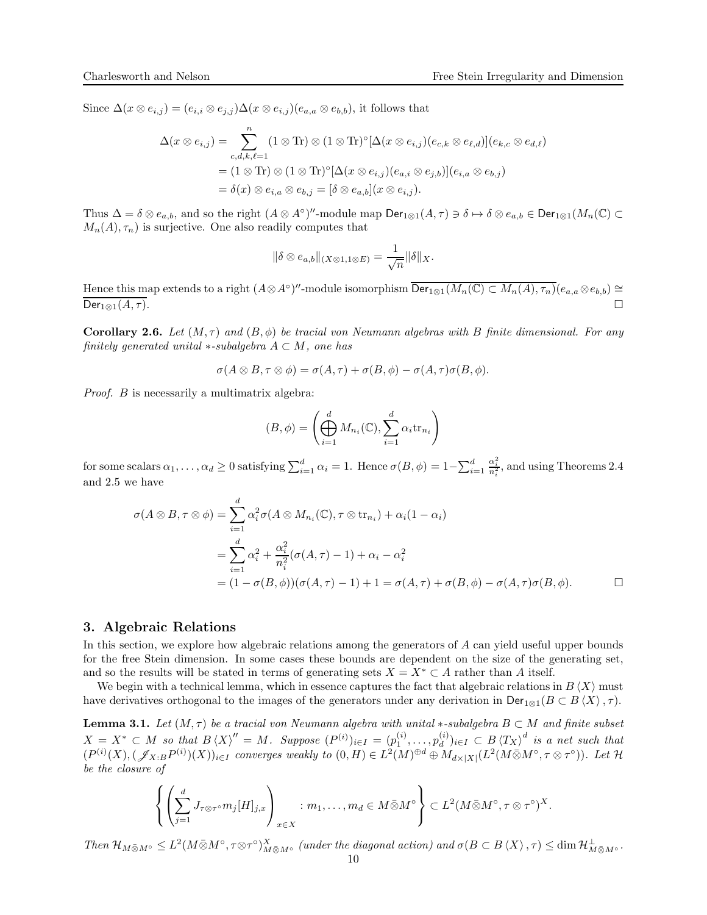Since  $\Delta(x \otimes e_{i,j}) = (e_{i,i} \otimes e_{j,j}) \Delta(x \otimes e_{i,j}) (e_{a,a} \otimes e_{b,b})$ , it follows that

$$
\Delta(x \otimes e_{i,j}) = \sum_{c,d,k,\ell=1}^{n} (1 \otimes \text{Tr}) \otimes (1 \otimes \text{Tr})^{\circ} [\Delta(x \otimes e_{i,j})(e_{c,k} \otimes e_{\ell,d})](e_{k,c} \otimes e_{d,\ell})
$$
  
=  $(1 \otimes \text{Tr}) \otimes (1 \otimes \text{Tr})^{\circ} [\Delta(x \otimes e_{i,j})(e_{a,i} \otimes e_{j,b})](e_{i,a} \otimes e_{b,j})$   
=  $\delta(x) \otimes e_{i,a} \otimes e_{b,j} = [\delta \otimes e_{a,b}](x \otimes e_{i,j}).$ 

Thus  $\Delta = \delta \otimes e_{a,b}$ , and so the right  $(A \otimes A^{\circ})''$ -module map  $\textsf{Der}_{1\otimes 1}(A,\tau) \ni \delta \mapsto \delta \otimes e_{a,b} \in \textsf{Der}_{1\otimes 1}(M_n(\mathbb{C}) \subset \mathbb{C}$  $M_n(A), \tau_n$ ) is surjective. One also readily computes that

$$
\|\delta \otimes e_{a,b}\|_{(X\otimes 1,1\otimes E)} = \frac{1}{\sqrt{n}} \|\delta\|_X.
$$

Hence this map extends to a right  $(A \otimes A<sup>o</sup>)''$ -module isomorphism  $\overline{\mathsf{Der}_{1\otimes 1}(M_n(\mathbb{C}) \subset M_n(A),\tau_n)}(e_{a,a} \otimes e_{b,b}) \cong$  $\mathsf{Der}_{1\otimes 1}(A,\tau).$ 

<span id="page-9-0"></span>**Corollary 2.6.** Let  $(M, \tau)$  and  $(B, \phi)$  be tracial von Neumann algebras with B finite dimensional. For any finitely generated unital  $*$ -subalgebra  $A \subset M$ , one has

$$
\sigma(A\otimes B,\tau\otimes\phi)=\sigma(A,\tau)+\sigma(B,\phi)-\sigma(A,\tau)\sigma(B,\phi).
$$

Proof. B is necessarily a multimatrix algebra:

$$
(B, \phi) = \left(\bigoplus_{i=1}^{d} M_{n_i}(\mathbb{C}), \sum_{i=1}^{d} \alpha_i \text{tr}_{n_i}\right)
$$

for some scalars  $\alpha_1, \ldots, \alpha_d \ge 0$  satisfying  $\sum_{i=1}^d \alpha_i = 1$ . Hence  $\sigma(B, \phi) = 1 - \sum_{i=1}^d \alpha_i$  $\frac{\alpha_i^2}{n_i^2}$ , and using Theorems [2.4](#page-7-0) and [2.5](#page-7-2) we have

$$
\sigma(A \otimes B, \tau \otimes \phi) = \sum_{i=1}^{d} \alpha_i^2 \sigma(A \otimes M_{n_i}(\mathbb{C}), \tau \otimes \text{tr}_{n_i}) + \alpha_i (1 - \alpha_i)
$$
  
= 
$$
\sum_{i=1}^{d} \alpha_i^2 + \frac{\alpha_i^2}{n_i^2} (\sigma(A, \tau) - 1) + \alpha_i - \alpha_i^2
$$
  
= 
$$
(1 - \sigma(B, \phi))(\sigma(A, \tau) - 1) + 1 = \sigma(A, \tau) + \sigma(B, \phi) - \sigma(A, \tau) \sigma(B, \phi).
$$

### <span id="page-9-1"></span>3. Algebraic Relations

In this section, we explore how algebraic relations among the generators of A can yield useful upper bounds for the free Stein dimension. In some cases these bounds are dependent on the size of the generating set, and so the results will be stated in terms of generating sets  $X = X^* \subset A$  rather than A itself.

We begin with a technical lemma, which in essence captures the fact that algebraic relations in  $B\langle X\rangle$  must have derivatives orthogonal to the images of the generators under any derivation in  $\text{Der}_{\mathfrak{D}1}(B \subset B \langle X \rangle, \tau)$ .

<span id="page-9-2"></span>**Lemma 3.1.** Let  $(M, \tau)$  be a tracial von Neumann algebra with unital \*-subalgebra  $B \subset M$  and finite subset  $X = X^* \subset M$  so that  $B\langle X \rangle'' = M$ . Suppose  $(P^{(i)})_{i \in I} = (p_1^{(i)}, \ldots, p_d^{(i)})$  $\binom{(i)}{d} i \in I \subset B \langle T_X \rangle^d$  is a net such that  $(P^{(i)}(X),(\mathscr{J}_{X:B}P^{(i)})(X))_{i\in I}$  converges weakly to  $(0,H)\in L^2(M)^{\oplus d}\oplus M_{d\times |X|}(L^2(M\bar{\otimes}M^{\circ},\tau\otimes\tau^{\circ}))$ . Let H be the closure of

$$
\left\{ \left( \sum_{j=1}^d J_{\tau \otimes \tau} \circ m_j[H]_{j,x} \right)_{x \in X} : m_1, \dots, m_d \in M \bar{\otimes} M^{\circ} \right\} \subset L^2(M \bar{\otimes} M^{\circ}, \tau \otimes \tau^{\circ})^X.
$$

Then  $\mathcal{H}_{M\bar{\otimes}M}$ ∘  $\leq L^2(M\bar{\otimes}M^{\circ}, \tau\otimes\tau^{\circ})_{M\bar{\otimes}M^{\circ}}^X$  (under the diagonal action) and  $\sigma(B\subset B\langle X\rangle,\tau) \leq \dim \mathcal{H}_{M\bar{\otimes}M^{\circ}}^{\perp}$ .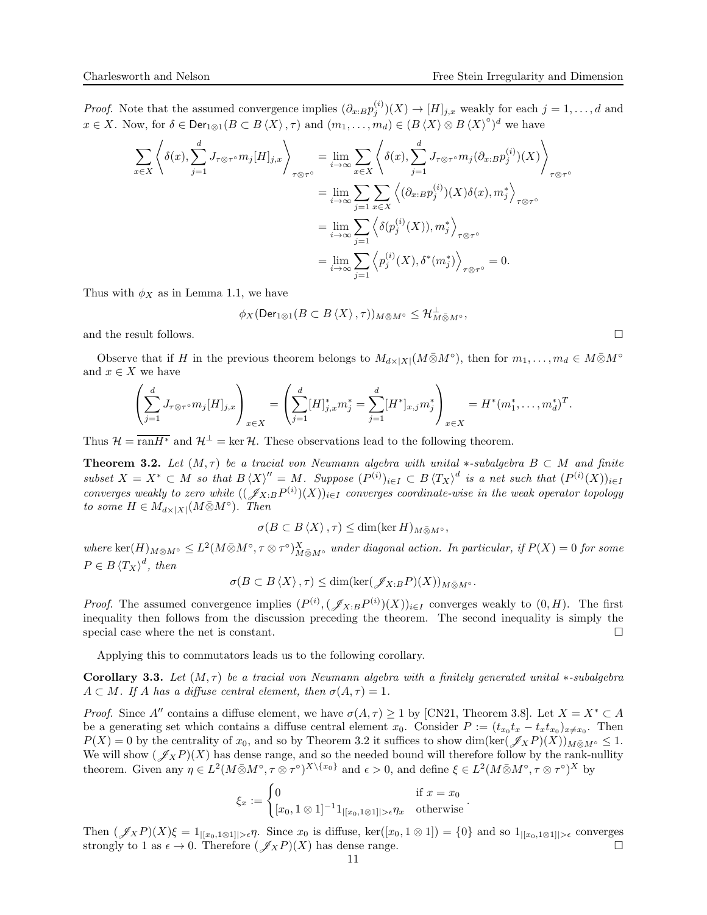*Proof.* Note that the assumed convergence implies  $(\partial_{x:B}p_j^{(i)})(X) \to [H]_{j,x}$  weakly for each  $j = 1, \ldots, d$  and  $x \in X$ . Now, for  $\delta \in \text{Der}_{1 \otimes 1}(B \subset B \langle X \rangle, \tau)$  and  $(m_1, \ldots, m_d) \in (B \langle X \rangle \otimes B \langle X \rangle^{\circ})^d$  we have

$$
\sum_{x \in X} \left\langle \delta(x), \sum_{j=1}^d J_{\tau \otimes \tau^{\circ}} m_j[H]_{j,x} \right\rangle_{\tau \otimes \tau^{\circ}} = \lim_{i \to \infty} \sum_{x \in X} \left\langle \delta(x), \sum_{j=1}^d J_{\tau \otimes \tau^{\circ}} m_j(\partial_{x:B} p_j^{(i)})(X) \right\rangle_{\tau \otimes \tau^{\circ}}
$$

$$
= \lim_{i \to \infty} \sum_{j=1}^d \sum_{x \in X} \left\langle (\partial_{x:B} p_j^{(i)})(X)\delta(x), m_j^* \right\rangle_{\tau \otimes \tau^{\circ}}
$$

$$
= \lim_{i \to \infty} \sum_{j=1}^d \left\langle \delta(p_j^{(i)}(X)), m_j^* \right\rangle_{\tau \otimes \tau^{\circ}}
$$

$$
= \lim_{i \to \infty} \sum_{j=1}^d \left\langle p_j^{(i)}(X), \delta^*(m_j^*) \right\rangle_{\tau \otimes \tau^{\circ}} = 0.
$$

Thus with  $\phi_X$  as in Lemma [1.1,](#page-3-0) we have

$$
\phi_X(\operatorname{Der}_{1\otimes 1}(B\subset B\left\langle X\right\rangle,\tau))_{M\bar{\otimes}M^{\circ}}\leq \mathcal{H}_{M\bar{\otimes}M^{\circ}}^{\perp},
$$

and the result follows.  $\Box$ 

Observe that if H in the previous theorem belongs to  $M_{d\times|X|}(M\bar{\otimes}M^{\circ})$ , then for  $m_1,\ldots,m_d\in M\bar{\otimes}M^{\circ}$ and  $x \in X$  we have

$$
\left(\sum_{j=1}^d J_{\tau\otimes\tau\circ m_j}[H]_{j,x}\right)_{x\in X} = \left(\sum_{j=1}^d [H]_{j,x}^* m_j^* = \sum_{j=1}^d [H^*]_{x,j} m_j^*\right)_{x\in X} = H^*(m_1^*, \dots, m_d^*)^T.
$$

Thus  $\mathcal{H} = \overline{\text{ran}H^*}$  and  $\mathcal{H}^{\perp} = \text{ker } \mathcal{H}$ . These observations lead to the following theorem.

<span id="page-10-1"></span>**Theorem 3.2.** Let  $(M, \tau)$  be a tracial von Neumann algebra with unital \*-subalgebra  $B \subset M$  and finite subset  $X = X^* \subset M$  so that  $B\langle X \rangle'' = M$ . Suppose  $(P^{(i)})_{i \in I} \subset B\langle T_X \rangle^d$  is a net such that  $(P^{(i)}(X))_{i \in I}$ converges weakly to zero while  $((\mathscr{J}_{X:B}P^{(i)})(X))_{i\in I}$  converges coordinate-wise in the weak operator topology to some  $H \in M_{d \times |X|}(M \bar{\otimes} M^{\circ})$ . Then

$$
\sigma(B\subset B\langle X\rangle,\tau)\leq \dim(\ker H)_{M\bar{\otimes}M^{\circ}},
$$

where  $\ker(H)_{M\bar{\otimes}M}$ °  $\leq L^2(M\bar{\otimes}M^{\circ}, \tau\otimes\tau^{\circ})_{M\bar{\otimes}M^{\circ}}^X$  under diagonal action. In particular, if  $P(X)=0$  for some  $P \in B \langle T_X \rangle^d$ , then

$$
\sigma(B\subset B\langle X\rangle,\tau)\leq \dim(\ker(\mathscr{J}_{X:B}P)(X))_{M\bar{\otimes}M^{\circ}}.
$$

*Proof.* The assumed convergence implies  $(P^{(i)},(\mathscr{J}_{X:B}P^{(i)})(X))_{i\in I}$  converges weakly to  $(0,H)$ . The first inequality then follows from the discussion preceding the theorem. The second inequality is simply the special case where the net is constant.  $\Box$ 

Applying this to commutators leads us to the following corollary.

<span id="page-10-0"></span>Corollary 3.3. Let  $(M, \tau)$  be a tracial von Neumann algebra with a finitely generated unital ∗-subalgebra  $A \subset M$ . If A has a diffuse central element, then  $\sigma(A, \tau) = 1$ .

*Proof.* Since A″ contains a diffuse element, we have  $\sigma(A, \tau) \ge 1$  by [\[CN21,](#page-21-0) Theorem 3.8]. Let  $X = X^* \subset A$ be a generating set which contains a diffuse central element  $x_0$ . Consider  $P := (t_{x_0}t_x - t_xt_{x_0})_{x \neq x_0}$ . Then  $P(X) = 0$  by the centrality of  $x_0$ , and so by Theorem [3.2](#page-10-1) it suffices to show dim(ker( $\mathscr{J}_X P(X)$ ) $_M \bar{\otimes}_M \circ \leq 1$ . We will show  $(\mathscr{J}_XP)(X)$  has dense range, and so the needed bound will therefore follow by the rank-nullity theorem. Given any  $\eta \in L^2(M \bar{\otimes} M^{\circ}, \tau \otimes \tau^{\circ})^{X \setminus \{x_0\}}$  and  $\epsilon > 0$ , and define  $\xi \in L^2(M \bar{\otimes} M^{\circ}, \tau \otimes \tau^{\circ})^X$  by

$$
\xi_x := \begin{cases} 0 & \text{if } x = x_0 \\ [x_0, 1 \otimes 1]^{-1} 1_{|[x_0, 1 \otimes 1]| > \epsilon} \eta_x & \text{otherwise} \end{cases}.
$$

Then  $(\mathscr{J}_X P)(X)\xi = 1_{[[x_0,1\otimes 1]]>\epsilon}\eta$ . Since  $x_0$  is diffuse, ker $([x_0,1\otimes 1]) = \{0\}$  and so  $1_{[[x_0,1\otimes 1]]>\epsilon}$  converges strongly to 1 as  $\epsilon \to 0$ . Therefore  $(\mathscr{J}_Y P)(X)$  has dense range. strongly to 1 as  $\epsilon \to 0$ . Therefore  $(\mathscr{J}_XP)(X)$  has dense range.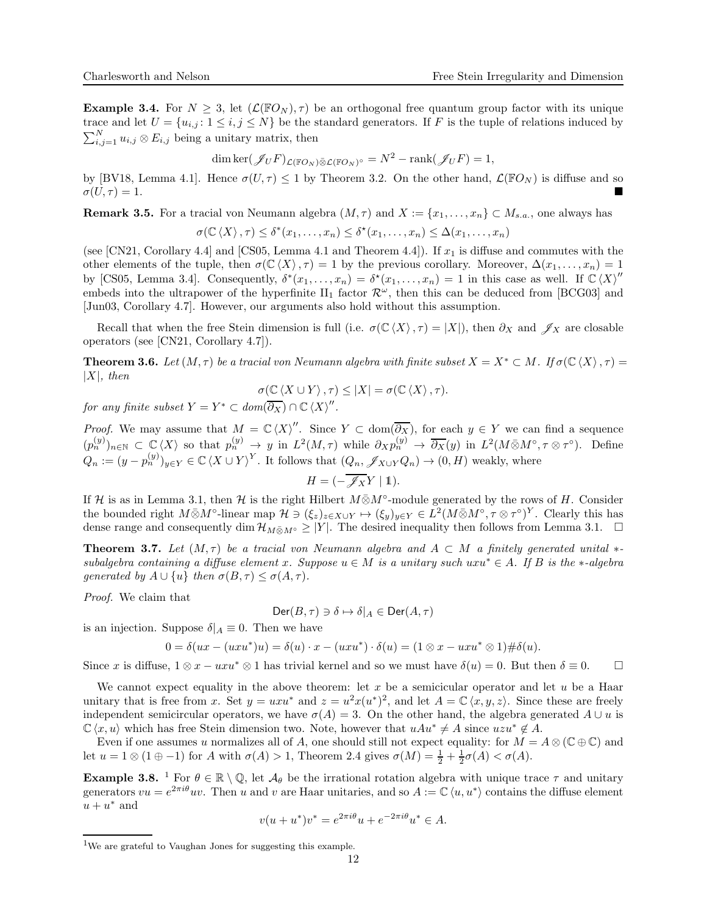**Example 3.4.** For  $N \geq 3$ , let  $(\mathcal{L}(\mathbb{F}O_N), \tau)$  be an orthogonal free quantum group factor with its unique trace and let  $U = \{u_{i,j} : 1 \leq i,j \leq N\}$  be the standard generators. If F is the tuple of relations induced by  $\sum_{i,j=1}^{N} u_{i,j} \otimes E_{i,j}$  being a unitary matrix, then

$$
\dim \ker(\mathscr{J}_U F)_{\mathcal{L}(\mathbb{F}O_N)\bar{\otimes}\mathcal{L}(\mathbb{F}O_N)^{\circ}} = N^2 - \text{rank}(\mathscr{J}_U F) = 1,
$$

by [\[BV18,](#page-21-8) Lemma 4.1]. Hence  $\sigma(U, \tau) \le 1$  by Theorem [3.2.](#page-10-1) On the other hand,  $\mathcal{L}(\mathbb{F}O_N)$  is diffuse and so  $\sigma(U, \tau) = 1$ .  $\sigma(U,\tau)=1.$ 

**Remark 3.5.** For a tracial von Neumann algebra  $(M, \tau)$  and  $X := \{x_1, \ldots, x_n\} \subset M_{s,a}$ , one always has

$$
\sigma(\mathbb{C}\langle X\rangle,\tau)\leq \delta^*(x_1,\ldots,x_n)\leq \delta^*(x_1,\ldots,x_n)\leq \Delta(x_1,\ldots,x_n)
$$

(see [\[CN21,](#page-21-0) Corollary 4.4] and [\[CS05,](#page-21-5) Lemma 4.1 and Theorem 4.4]). If  $x_1$  is diffuse and commutes with the other elements of the tuple, then  $\sigma(\mathbb{C}\langle X\rangle, \tau) = 1$  by the previous corollary. Moreover,  $\Delta(x_1, \ldots, x_n) = 1$ by [\[CS05,](#page-21-5) Lemma 3.4]. Consequently,  $\delta^*(x_1,\ldots,x_n) = \delta^*(x_1,\ldots,x_n) = 1$  in this case as well. If  $\mathbb{C}\langle X \rangle''$ embeds into the ultrapower of the hyperfinite  $II_1$  factor  $\mathcal{R}^{\omega}$ , then this can be deduced from [\[BCG03\]](#page-21-9) and [\[Jun03,](#page-21-10) Corollary 4.7]. However, our arguments also hold without this assumption.

Recall that when the free Stein dimension is full (i.e.  $\sigma(\mathbb{C}\langle X\rangle, \tau) = |X|$ ), then  $\partial_X$  and  $\mathscr{J}_X$  are closable operators (see [\[CN21,](#page-21-0) Corollary 4.7]).

<span id="page-11-0"></span>**Theorem 3.6.** Let  $(M, \tau)$  be a tracial von Neumann algebra with finite subset  $X = X^* \subset M$ . If  $\sigma(\mathbb{C}\langle X \rangle, \tau) =$  $|X|$ , then

$$
\sigma(\mathbb{C}\langle X \cup Y \rangle, \tau) \leq |X| = \sigma(\mathbb{C}\langle X \rangle, \tau).
$$

for any finite subset  $Y = Y^* \subset dom(\overline{\partial_X}) \cap \mathbb{C} \langle X \rangle''$ .

*Proof.* We may assume that  $M = \mathbb{C} \langle X \rangle''$ . Since  $Y \subset \text{dom}(\overline{\partial_X})$ , for each  $y \in Y$  we can find a sequence  $(p_n^{(y)})_{n\in\mathbb{N}}\subset\mathbb{C}\langle X\rangle$  so that  $p_n^{(y)}\to y$  in  $L^2(M,\tau)$  while  $\partial_X p_n^{(y)}\to\overline{\partial_X}(y)$  in  $L^2(M\bar{\otimes}M^{\circ},\tau\otimes\tau^{\circ})$ . Define  $Q_n := (y - p_n^{(y)})_{y \in Y} \in \mathbb{C} \langle X \cup Y \rangle^Y$ . It follows that  $(Q_n, \mathscr{J}_{X \cup Y} Q_n) \to (0, H)$  weakly, where

$$
H = \left(-\overline{\mathscr{J}_X}Y \mid 1\right).
$$

If H is as in Lemma [3.1,](#page-9-2) then H is the right Hilbert  $M \bar{\otimes} M^{\circ}$ -module generated by the rows of H. Consider the bounded right  $M\bar{\otimes}M^{\circ}$ -linear map  $\mathcal{H}\ni(\xi_z)_{z\in X\cup Y}\mapsto(\xi_y)_{y\in Y}\in L^2(M\bar{\otimes}M^{\circ},\tau\otimes\tau^{\circ})^Y$ . Clearly this has dense range and consequently dim  $\mathcal{H}_{M\otimes M} \geq |Y|$ . The desired inequality then follows from Lemma [3.1.](#page-9-2)  $\Box$ 

<span id="page-11-1"></span>**Theorem 3.7.** Let  $(M, \tau)$  be a tracial von Neumann algebra and  $A \subset M$  a finitely generated unital  $*$ subalgebra containing a diffuse element x. Suppose  $u \in M$  is a unitary such uxu<sup>\*</sup>  $\in A$ . If B is the \*-algebra generated by  $A \cup \{u\}$  then  $\sigma(B, \tau) \leq \sigma(A, \tau)$ .

Proof. We claim that

$$
\mathsf{Der}(B,\tau)\ni\delta\mapsto\delta|_A\in\mathsf{Der}(A,\tau)
$$

is an injection. Suppose  $\delta|_A \equiv 0$ . Then we have

$$
0 = \delta(ux - (uxu^*)u) = \delta(u) \cdot x - (uxu^*) \cdot \delta(u) = (1 \otimes x - uxu^* \otimes 1) \# \delta(u).
$$

Since x is diffuse,  $1 \otimes x - uxu^* \otimes 1$  has trivial kernel and so we must have  $\delta(u) = 0$ . But then  $\delta \equiv 0$ .  $\Box$ 

We cannot expect equality in the above theorem: let  $x$  be a semicicular operator and let  $u$  be a Haar unitary that is free from x. Set  $y = uxu^*$  and  $z = u^2x(u^*)^2$ , and let  $A = \mathbb{C}\langle x, y, z \rangle$ . Since these are freely independent semicircular operators, we have  $\sigma(A) = 3$ . On the other hand, the algebra generated  $A \cup u$  is  $\mathbb{C}\langle x, u \rangle$  which has free Stein dimension two. Note, however that  $uAu^* \neq A$  since  $uzu^* \notin A$ .

Even if one assumes u normalizes all of A, one should still not expect equality: for  $M = A \otimes (\mathbb{C} \oplus \mathbb{C})$  and let  $u = 1 \otimes (1 \oplus -1)$  for A with  $\sigma(A) > 1$ , Theorem [2.4](#page-7-0) gives  $\sigma(M) = \frac{1}{2} + \frac{1}{2}\sigma(A) < \sigma(A)$ .

**Example 3.8.** <sup>1</sup> For  $\theta \in \mathbb{R} \setminus \mathbb{Q}$ , let  $\mathcal{A}_{\theta}$  be the irrational rotation algebra with unique trace  $\tau$  and unitary generators  $vu = e^{2\pi i\theta}uv$ . Then u and v are Haar unitaries, and so  $A := \mathbb{C} \langle u, u^* \rangle$  contains the diffuse element  $u + u^*$  and

$$
v(u + u^*)v^* = e^{2\pi i\theta}u + e^{-2\pi i\theta}u^* \in A.
$$

<sup>1</sup>We are grateful to Vaughan Jones for suggesting this example.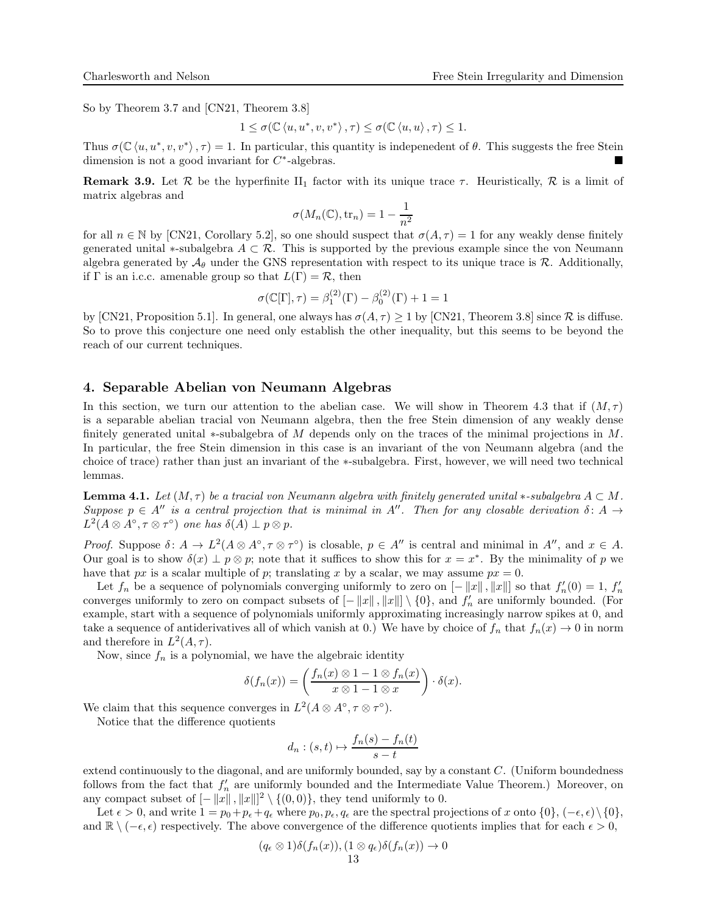So by Theorem [3.7](#page-11-1) and [\[CN21,](#page-21-0) Theorem 3.8]

$$
1\leq \sigma(\mathbb{C}\left\langle u,u^*,v,v^*\right\rangle,\tau)\leq \sigma(\mathbb{C}\left\langle u,u\right\rangle,\tau)\leq 1.
$$

Thus  $\sigma(\mathbb{C}\langle u, u^*, v, v^*\rangle, \tau) = 1$ . In particular, this quantity is indepenedent of  $\theta$ . This suggests the free Stein dimension is not a good invariant for  $C^*$ -algebras.

**Remark 3.9.** Let R be the hyperfinite II<sub>1</sub> factor with its unique trace  $\tau$ . Heuristically, R is a limit of matrix algebras and

$$
\sigma(M_n(\mathbb{C}), \text{tr}_n) = 1 - \frac{1}{n^2}
$$

for all  $n \in \mathbb{N}$  by [\[CN21,](#page-21-0) Corollary 5.2], so one should suspect that  $\sigma(A, \tau) = 1$  for any weakly dense finitely generated unital  $*$ -subalgebra  $A \subset \mathcal{R}$ . This is supported by the previous example since the von Neumann algebra generated by  $\mathcal{A}_{\theta}$  under the GNS representation with respect to its unique trace is  $\mathcal{R}$ . Additionally, if  $\Gamma$  is an i.c.c. amenable group so that  $L(\Gamma) = \mathcal{R}$ , then

$$
\sigma(\mathbb{C}[\Gamma], \tau) = \beta_1^{(2)}(\Gamma) - \beta_0^{(2)}(\Gamma) + 1 = 1
$$

by [\[CN21,](#page-21-0) Proposition 5.1]. In general, one always has  $\sigma(A, \tau) \geq 1$  by [CN21, Theorem 3.8] since R is diffuse. So to prove this conjecture one need only establish the other inequality, but this seems to be beyond the reach of our current techniques.

# <span id="page-12-0"></span>4. Separable Abelian von Neumann Algebras

In this section, we turn our attention to the abelian case. We will show in Theorem [4.3](#page-13-0) that if  $(M, \tau)$ is a separable abelian tracial von Neumann algebra, then the free Stein dimension of any weakly dense finitely generated unital ∗-subalgebra of M depends only on the traces of the minimal projections in M. In particular, the free Stein dimension in this case is an invariant of the von Neumann algebra (and the choice of trace) rather than just an invariant of the ∗-subalgebra. First, however, we will need two technical lemmas.

<span id="page-12-1"></span>**Lemma 4.1.** Let  $(M, \tau)$  be a tracial von Neumann algebra with finitely generated unital  $*$ -subalgebra  $A \subset M$ . Suppose  $p \in A''$  is a central projection that is minimal in A''. Then for any closable derivation  $\delta: A \rightarrow$  $L^2(A\otimes A^\circ, \tau\otimes \tau^\circ)$  one has  $\delta(A)\perp p\otimes p$ .

Proof. Suppose  $\delta: A \to L^2(A \otimes A^{\circ}, \tau \otimes \tau^{\circ})$  is closable,  $p \in A''$  is central and minimal in  $A''$ , and  $x \in A$ . Our goal is to show  $\delta(x) \perp p \otimes p$ ; note that it suffices to show this for  $x = x^*$ . By the minimality of p we have that px is a scalar multiple of p; translating x by a scalar, we may assume  $px = 0$ .

Let  $f_n$  be a sequence of polynomials converging uniformly to zero on  $[-||x||, ||x||]$  so that  $f'_n(0) = 1, f'_n$ converges uniformly to zero on compact subsets of  $[-||x||, ||x||] \setminus \{0\}$ , and  $f'_n$  are uniformly bounded. (For example, start with a sequence of polynomials uniformly approximating increasingly narrow spikes at 0, and take a sequence of antiderivatives all of which vanish at 0.) We have by choice of  $f_n$  that  $f_n(x) \to 0$  in norm and therefore in  $L^2(A, \tau)$ .

Now, since  $f_n$  is a polynomial, we have the algebraic identity

$$
\delta(f_n(x)) = \left(\frac{f_n(x) \otimes 1 - 1 \otimes f_n(x)}{x \otimes 1 - 1 \otimes x}\right) \cdot \delta(x).
$$

We claim that this sequence converges in  $L^2(A \otimes A^\circ, \tau \otimes \tau^\circ)$ .

Notice that the difference quotients

$$
d_n : (s, t) \mapsto \frac{f_n(s) - f_n(t)}{s - t}
$$

extend continuously to the diagonal, and are uniformly bounded, say by a constant C. (Uniform boundedness follows from the fact that  $f'_n$  are uniformly bounded and the Intermediate Value Theorem.) Moreover, on any compact subset of  $[-||x||, ||x||]^2 \setminus \{(0,0)\},$  they tend uniformly to 0.

Let  $\epsilon > 0$ , and write  $1 = p_0 + p_\epsilon + q_\epsilon$  where  $p_0, p_\epsilon, q_\epsilon$  are the spectral projections of x onto  $\{0\}, (-\epsilon, \epsilon) \setminus \{0\},$ and  $\mathbb{R} \setminus (-\epsilon, \epsilon)$  respectively. The above convergence of the difference quotients implies that for each  $\epsilon > 0$ ,

$$
(q_{\epsilon} \otimes 1)\delta(f_n(x)), (1 \otimes q_{\epsilon})\delta(f_n(x)) \to 0
$$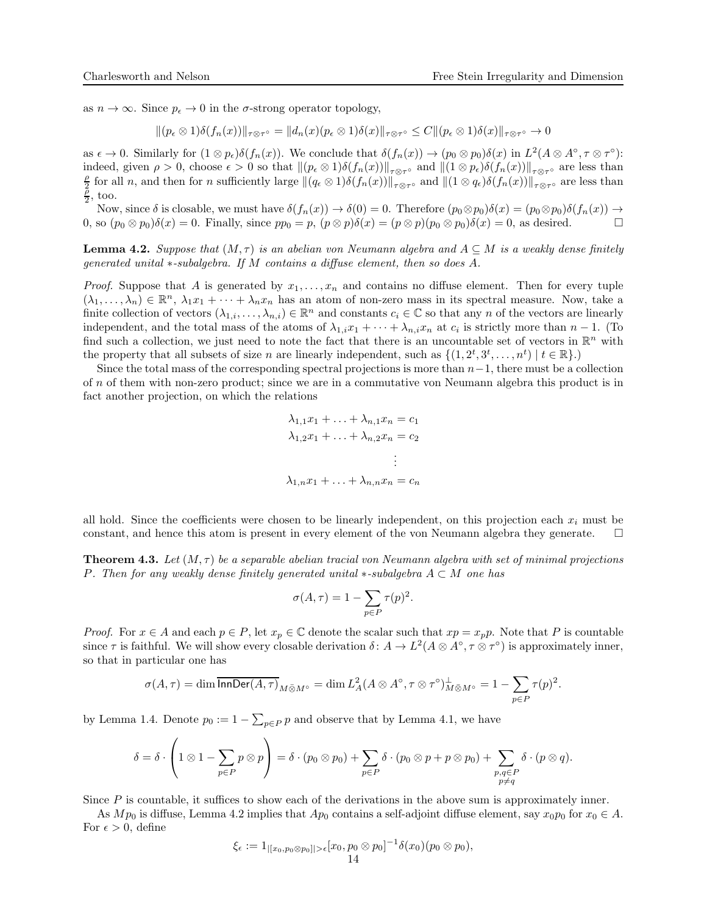as  $n \to \infty$ . Since  $p_{\epsilon} \to 0$  in the  $\sigma$ -strong operator topology,

 $||(p_{\epsilon} \otimes 1)\delta(f_n(x))||_{\tau \otimes \tau^{\circ}} = ||d_n(x)(p_{\epsilon} \otimes 1)\delta(x)||_{\tau \otimes \tau^{\circ}} \leq C||(p_{\epsilon} \otimes 1)\delta(x)||_{\tau \otimes \tau^{\circ}} \to 0$ 

as  $\epsilon \to 0$ . Similarly for  $(1 \otimes p_{\epsilon})\delta(f_n(x))$ . We conclude that  $\delta(f_n(x)) \to (p_0 \otimes p_0)\delta(x)$  in  $L^2(A \otimes A^{\circ}, \tau \otimes \tau^{\circ})$ : indeed, given  $\rho > 0$ , choose  $\epsilon > 0$  so that  $\|(p_{\epsilon} \otimes 1)\delta(f_n(x))\|_{\tau \otimes \tau}$  and  $\|(1 \otimes p_{\epsilon})\delta(f_n(x))\|_{\tau \otimes \tau}$  are less than  $\frac{\rho}{2}$  for all *n*, and then for *n* sufficiently large  $\|(q_\epsilon \otimes 1)\delta(f_n(x))\|_{\tau \otimes \tau^{\circ}}$  and  $\|(1 \otimes q_\epsilon)\delta(f_n(x))\|_{\tau \otimes \tau^{\circ}}$  are less than  $\frac{\rho}{2}$ , too.

Now, since  $\delta$  is closable, we must have  $\delta(f_n(x)) \to \delta(0) = 0$ . Therefore  $(p_0 \otimes p_0)\delta(x) = (p_0 \otimes p_0)\delta(f_n(x)) \to$ <br>so  $(p_0 \otimes p_0)\delta(x) = 0$ . Finally, since  $pp_0 = p$ ,  $(p \otimes p)\delta(x) = (p \otimes p)(p_0 \otimes p_0)\delta(x) = 0$ , as desired. 0, so  $(p_0 \otimes p_0)\delta(x) = 0$ . Finally, since  $pp_0 = p$ ,  $(p \otimes p)\delta(x) = (p \otimes p)(p_0 \otimes p_0)\delta(x) = 0$ , as desired.

<span id="page-13-1"></span>**Lemma 4.2.** Suppose that  $(M, \tau)$  is an abelian von Neumann algebra and  $A \subseteq M$  is a weakly dense finitely generated unital ∗-subalgebra. If M contains a diffuse element, then so does A.

*Proof.* Suppose that A is generated by  $x_1, \ldots, x_n$  and contains no diffuse element. Then for every tuple  $(\lambda_1, \ldots, \lambda_n) \in \mathbb{R}^n$ ,  $\lambda_1 x_1 + \cdots + \lambda_n x_n$  has an atom of non-zero mass in its spectral measure. Now, take a finite collection of vectors  $(\lambda_{1,i},\ldots,\lambda_{n,i})\in\mathbb{R}^n$  and constants  $c_i\in\mathbb{C}$  so that any n of the vectors are linearly independent, and the total mass of the atoms of  $\lambda_{1,i}x_1 + \cdots + \lambda_{n,i}x_n$  at  $c_i$  is strictly more than  $n-1$ . (To find such a collection, we just need to note the fact that there is an uncountable set of vectors in  $\mathbb{R}^n$  with the property that all subsets of size *n* are linearly independent, such as  $\{(1, 2^t, 3^t, \ldots, n^t) \mid t \in \mathbb{R}\}\.$ 

Since the total mass of the corresponding spectral projections is more than  $n-1$ , there must be a collection of n of them with non-zero product; since we are in a commutative von Neumann algebra this product is in fact another projection, on which the relations

$$
\lambda_{1,1}x_1 + \ldots + \lambda_{n,1}x_n = c_1
$$
  

$$
\lambda_{1,2}x_1 + \ldots + \lambda_{n,2}x_n = c_2
$$
  

$$
\vdots
$$
  

$$
\lambda_{1,n}x_1 + \ldots + \lambda_{n,n}x_n = c_n
$$

all hold. Since the coefficients were chosen to be linearly independent, on this projection each  $x_i$  must be constant, and hence this atom is present in every element of the von Neumann algebra they generate.  $\square$ 

<span id="page-13-0"></span>**Theorem 4.3.** Let  $(M, \tau)$  be a separable abelian tracial von Neumann algebra with set of minimal projections P. Then for any weakly dense finitely generated unital  $*$ -subalgebra  $A \subset M$  one has

$$
\sigma(A,\tau) = 1 - \sum_{p \in P} \tau(p)^2.
$$

*Proof.* For  $x \in A$  and each  $p \in P$ , let  $x_p \in \mathbb{C}$  denote the scalar such that  $xp = x_p p$ . Note that P is countable since  $\tau$  is faithful. We will show every closable derivation  $\delta: A \to L^2(A \otimes A^{\circ}, \tau \otimes \tau^{\circ})$  is approximately inner, so that in particular one has

$$
\sigma(A,\tau)=\dim\overline{\mathsf{InnDer}(A,\tau)}_{M\bar\otimes M^\circ}=\dim L_A^2(A\otimes A^\circ,\tau\otimes\tau^\circ)^\perp_{M\bar\otimes M^\circ}=1-\sum_{p\in P}\tau(p)^2.
$$

by Lemma [1.4.](#page-4-0) Denote  $p_0 := 1 - \sum_{p \in P} p$  and observe that by Lemma [4.1,](#page-12-1) we have

$$
\delta = \delta \cdot \left(1 \otimes 1 - \sum_{p \in P} p \otimes p\right) = \delta \cdot (p_0 \otimes p_0) + \sum_{p \in P} \delta \cdot (p_0 \otimes p + p \otimes p_0) + \sum_{\substack{p,q \in P \\ p \neq q}} \delta \cdot (p \otimes q).
$$

Since P is countable, it suffices to show each of the derivations in the above sum is approximately inner.

As  $Mp_0$  is diffuse, Lemma [4.2](#page-13-1) implies that  $Ap_0$  contains a self-adjoint diffuse element, say  $x_0p_0$  for  $x_0 \in A$ . For  $\epsilon > 0$ , define

$$
\xi_\epsilon:=1_{|[x_0,p_0\otimes p_0]|>\epsilon}[x_0,p_0\otimes p_0]^{-1}\delta(x_0)(p_0\otimes p_0),\\14
$$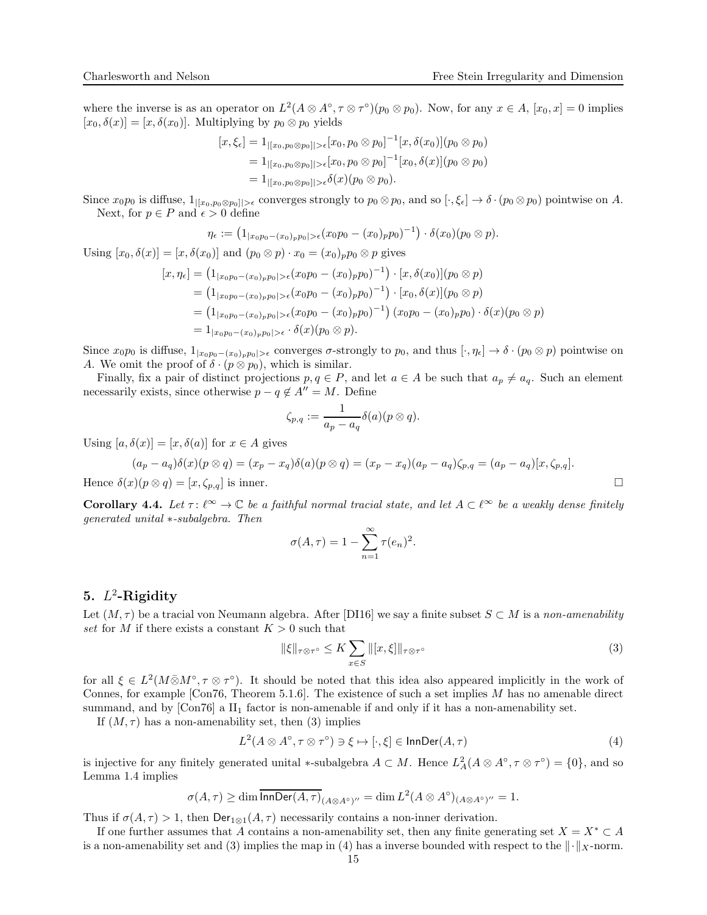where the inverse is as an operator on  $L^2(A \otimes A^{\circ}, \tau \otimes \tau^{\circ})(p_0 \otimes p_0)$ . Now, for any  $x \in A$ ,  $[x_0, x] = 0$  implies  $[x_0, \delta(x)] = [x, \delta(x_0)]$ . Multiplying by  $p_0 \otimes p_0$  yields

$$
[x,\xi_{\epsilon}] = 1_{|[x_0,p_0 \otimes p_0]| > \epsilon} [x_0,p_0 \otimes p_0]^{-1} [x,\delta(x_0)](p_0 \otimes p_0)
$$
  
= 1<sub>|[x\_0,p\_0 \otimes p\_0]| > \epsilon} [x\_0,p\_0 \otimes p\_0]^{-1} [x\_0,\delta(x)](p\_0 \otimes p\_0)  
= 1<sub>|[x\_0,p\_0 \otimes p\_0]| > \epsilon} \delta(x)(p\_0 \otimes p\_0).</sub></sub>

Since  $x_0p_0$  is diffuse,  $1_{|[x_0,p_0\otimes p_0]|>\epsilon}$  converges strongly to  $p_0\otimes p_0$ , and so  $[\cdot,\xi_\epsilon]\to \delta\cdot(p_0\otimes p_0)$  pointwise on A. Next, for  $p \in P$  and  $\epsilon > 0$  define

$$
\eta_{\epsilon} := (1_{|x_0p_0 - (x_0)_p p_0| > \epsilon} (x_0p_0 - (x_0)_p p_0)^{-1}) \cdot \delta(x_0)(p_0 \otimes p).
$$

Using  $[x_0, \delta(x)] = [x, \delta(x_0)]$  and  $(p_0 \otimes p) \cdot x_0 = (x_0)_p p_0 \otimes p$  gives

$$
[x, \eta_{\epsilon}] = (1_{|x_0p_0 - (x_0)_p p_0| > \epsilon} (x_0p_0 - (x_0)_p p_0)^{-1}) \cdot [x, \delta(x_0)](p_0 \otimes p)
$$
  
\n
$$
= (1_{|x_0p_0 - (x_0)_p p_0| > \epsilon} (x_0p_0 - (x_0)_p p_0)^{-1}) \cdot [x_0, \delta(x)](p_0 \otimes p)
$$
  
\n
$$
= (1_{|x_0p_0 - (x_0)_p p_0| > \epsilon} (x_0p_0 - (x_0)_p p_0)^{-1}) (x_0p_0 - (x_0)_p p_0) \cdot \delta(x)(p_0 \otimes p)
$$
  
\n
$$
= 1_{|x_0p_0 - (x_0)_p p_0| > \epsilon} \cdot \delta(x)(p_0 \otimes p).
$$

Since  $x_0p_0$  is diffuse,  $1_{|x_0p_0-(x_0)_pp_0|>\epsilon}$  converges  $\sigma$ -strongly to  $p_0$ , and thus  $[\cdot, \eta_{\epsilon}] \to \delta \cdot (p_0 \otimes p)$  pointwise on A. We omit the proof of  $\delta \cdot (p \otimes p_0)$ , which is similar.

Finally, fix a pair of distinct projections  $p, q \in P$ , and let  $a \in A$  be such that  $a_p \neq a_q$ . Such an element necessarily exists, since otherwise  $p - q \notin A'' = M$ . Define

$$
\zeta_{p,q}:=\frac{1}{a_p-a_q}\delta(a)(p\otimes q).
$$

Using  $[a, \delta(x)] = [x, \delta(a)]$  for  $x \in A$  gives

$$
(a_p - a_q)\delta(x)(p \otimes q) = (x_p - x_q)\delta(a)(p \otimes q) = (x_p - x_q)(a_p - a_q)\zeta_{p,q} = (a_p - a_q)[x, \zeta_{p,q}].
$$
  
Hence  $\delta(x)(p \otimes q) = [x, \zeta_{p,q}]$  is inner.

Corollary 4.4. Let  $\tau: \ell^{\infty} \to \mathbb{C}$  be a faithful normal tracial state, and let  $A \subset \ell^{\infty}$  be a weakly dense finitely generated unital ∗-subalgebra. Then

$$
\sigma(A,\tau) = 1 - \sum_{n=1}^{\infty} \tau(e_n)^2.
$$

# <span id="page-14-0"></span>5.  $L^2$ -Rigidity

Let  $(M, \tau)$  be a tracial von Neumann algebra. After [\[DI16\]](#page-21-3) we say a finite subset  $S \subset M$  is a non-amenability set for M if there exists a constant  $K > 0$  such that

<span id="page-14-2"></span><span id="page-14-1"></span>
$$
\|\xi\|_{\tau\otimes\tau^{\circ}} \le K \sum_{x\in S} \|[x,\xi]\|_{\tau\otimes\tau^{\circ}} \tag{3}
$$

for all  $\xi \in L^2(M \bar{\otimes} M^{\circ}, \tau \otimes \tau^{\circ})$ . It should be noted that this idea also appeared implicitly in the work of Connes, for example  $[Con76, Theorem 5.1.6]$ . The existence of such a set implies M has no amenable direct summand, and by  $[Con76]$  a  $II_1$  factor is non-amenable if and only if it has a non-amenability set.

If  $(M, \tau)$  has a non-amenability set, then [\(3\)](#page-14-1) implies

$$
L^{2}(A \otimes A^{\circ}, \tau \otimes \tau^{\circ}) \ni \xi \mapsto [\cdot, \xi] \in \mathsf{InnDer}(A, \tau)
$$
\n
$$
\tag{4}
$$

is injective for any finitely generated unital \*-subalgebra  $A \subset M$ . Hence  $L^2_A(A \otimes A^{\circ}, \tau \otimes \tau^{\circ}) = \{0\}$ , and so Lemma [1.4](#page-4-0) implies

$$
\sigma(A,\tau) \ge \dim \overline{\mathrm{InnDer}(A,\tau)}_{(A\otimes A^\circ)''} = \dim L^2(A\otimes A^\circ)_{(A\otimes A^\circ)''} = 1.
$$

Thus if  $\sigma(A, \tau) > 1$ , then  $\text{Der}_{1\otimes 1}(A, \tau)$  necessarily contains a non-inner derivation.

If one further assumes that A contains a non-amenability set, then any finite generating set  $X = X^* \subset A$ is a non-amenability set and [\(3\)](#page-14-1) implies the map in [\(4\)](#page-14-2) has a inverse bounded with respect to the  $\|\cdot\|_X$ -norm.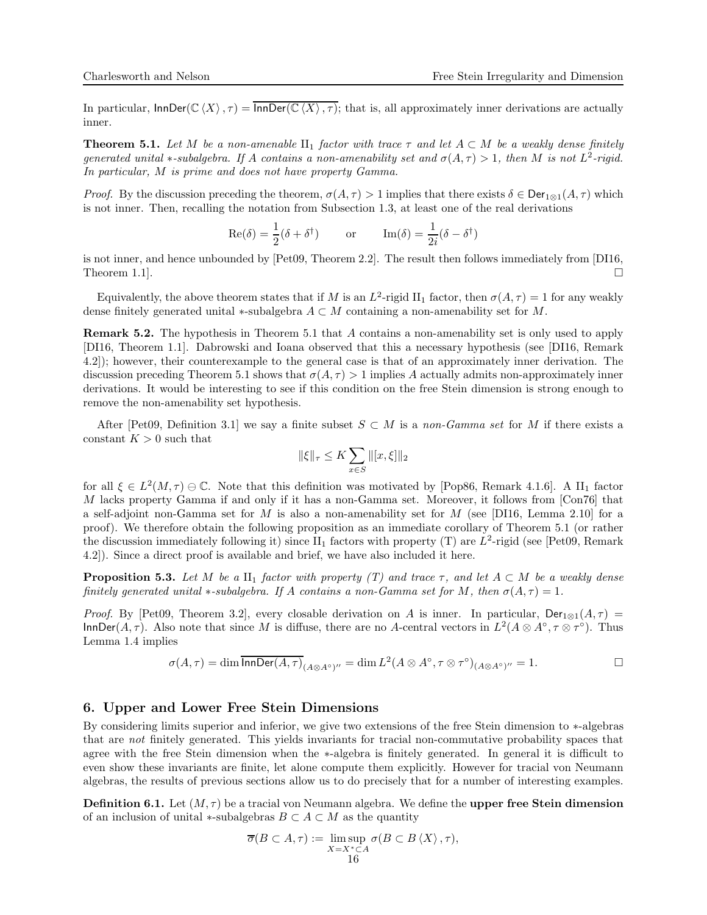In particular,  $\text{InnDer}(\mathbb{C}\langle X\rangle, \tau) = \overline{\text{InnDer}(\mathbb{C}\langle X\rangle, \tau)}$ ; that is, all approximately inner derivations are actually inner.

<span id="page-15-0"></span>**Theorem 5.1.** Let M be a non-amenable  $\text{II}_1$  factor with trace  $\tau$  and let  $A \subset M$  be a weakly dense finitely generated unital \*-subalgebra. If A contains a non-amenability set and  $\sigma(A, \tau) > 1$ , then M is not  $L^2$ -rigid. In particular, M is prime and does not have property Gamma.

*Proof.* By the discussion preceding the theorem,  $\sigma(A, \tau) > 1$  implies that there exists  $\delta \in \text{Der}_{1\otimes 1}(A, \tau)$  which is not inner. Then, recalling the notation from Subsection [1.3,](#page-2-0) at least one of the real derivations

$$
\operatorname{Re}(\delta) = \frac{1}{2}(\delta + \delta^{\dagger}) \qquad \text{or} \qquad \operatorname{Im}(\delta) = \frac{1}{2i}(\delta - \delta^{\dagger})
$$

is not inner, and hence unbounded by [\[Pet09,](#page-21-2) Theorem 2.2]. The result then follows immediately from [\[DI16,](#page-21-3) Theorem 1.1.

Equivalently, the above theorem states that if M is an  $L^2$ -rigid  $\text{II}_1$  factor, then  $\sigma(A, \tau) = 1$  for any weakly dense finitely generated unital ∗-subalgebra  $A \subset M$  containing a non-amenability set for M.

Remark 5.2. The hypothesis in Theorem [5.1](#page-15-0) that A contains a non-amenability set is only used to apply [\[DI16,](#page-21-3) Theorem 1.1]. Dabrowski and Ioana observed that this a necessary hypothesis (see [\[DI16,](#page-21-3) Remark 4.2]); however, their counterexample to the general case is that of an approximately inner derivation. The discussion preceding Theorem [5.1](#page-15-0) shows that  $\sigma(A, \tau) > 1$  implies A actually admits non-approximately inner derivations. It would be interesting to see if this condition on the free Stein dimension is strong enough to remove the non-amenability set hypothesis.

After [\[Pet09,](#page-21-2) Definition 3.1] we say a finite subset  $S \subset M$  is a non-Gamma set for M if there exists a constant  $K > 0$  such that

$$
\|\xi\|_{\tau} \le K \sum_{x \in S} \|[x,\xi]\|_2
$$

for all  $\xi \in L^2(M, \tau) \oplus \mathbb{C}$ . Note that this definition was motivated by [\[Pop86,](#page-21-12) Remark 4.1.6]. A II<sub>1</sub> factor M lacks property Gamma if and only if it has a non-Gamma set. Moreover, it follows from [\[Con76\]](#page-21-11) that a self-adjoint non-Gamma set for M is also a non-amenability set for M (see [\[DI16,](#page-21-3) Lemma 2.10] for a proof). We therefore obtain the following proposition as an immediate corollary of Theorem [5.1](#page-15-0) (or rather the discussion immediately following it) since  $II_1$  factors with property (T) are  $L^2$ -rigid (see [\[Pet09,](#page-21-2) Remark 4.2]). Since a direct proof is available and brief, we have also included it here.

**Proposition 5.3.** Let M be a II<sub>1</sub> factor with property (T) and trace  $\tau$ , and let  $A \subset M$  be a weakly dense finitely generated unital  $*$ -subalgebra. If A contains a non-Gamma set for M, then  $\sigma(A, \tau) = 1$ .

Proof. By [\[Pet09,](#page-21-2) Theorem 3.2], every closable derivation on A is inner. In particular, Der<sub>1⊗1</sub>(A,  $\tau$ ) =  $InnDer(A, \tau)$ . Also note that since M is diffuse, there are no A-central vectors in  $L^2(A \otimes A^\circ, \tau \otimes \tau^\circ)$ . Thus Lemma [1.4](#page-4-0) implies

$$
\sigma(A,\tau)=\dim\overline{\mathrm{InnDer}(A,\tau)}_{(A\otimes A^\circ)''}=\dim L^2(A\otimes A^\circ,\tau\otimes \tau^\circ)_{(A\otimes A^\circ)''}=1.
$$

# <span id="page-15-1"></span>6. Upper and Lower Free Stein Dimensions

By considering limits superior and inferior, we give two extensions of the free Stein dimension to ∗-algebras that are not finitely generated. This yields invariants for tracial non-commutative probability spaces that agree with the free Stein dimension when the ∗-algebra is finitely generated. In general it is difficult to even show these invariants are finite, let alone compute them explicitly. However for tracial von Neumann algebras, the results of previous sections allow us to do precisely that for a number of interesting examples.

**Definition 6.1.** Let  $(M, \tau)$  be a tracial von Neumann algebra. We define the upper free Stein dimension of an inclusion of unital  $*$ -subalgebras  $B \subset A \subset M$  as the quantity

$$
\overline{\sigma}(B \subset A, \tau) := \limsup_{X \to X^* \subset A} \sigma(B \subset B \langle X \rangle, \tau),
$$
  
16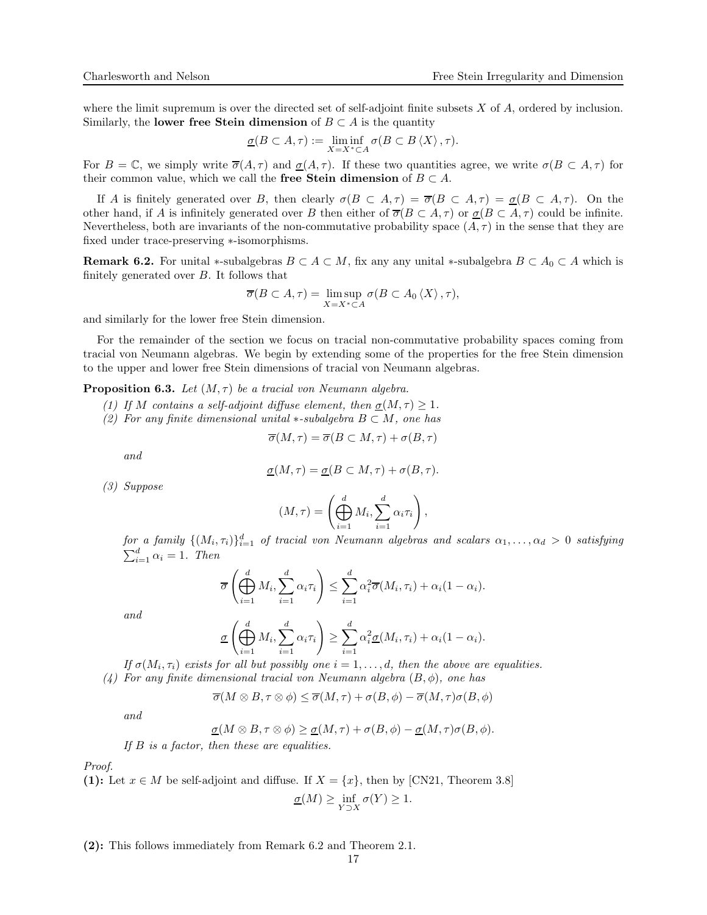where the limit supremum is over the directed set of self-adjoint finite subsets  $X$  of  $A$ , ordered by inclusion. Similarly, the lower free Stein dimension of  $B \subset A$  is the quantity

$$
\underline{\sigma}(B \subset A, \tau) := \liminf_{X=X^* \subset A} \sigma(B \subset B \langle X \rangle, \tau).
$$

For  $B = \mathbb{C}$ , we simply write  $\overline{\sigma}(A, \tau)$  and  $\underline{\sigma}(A, \tau)$ . If these two quantities agree, we write  $\sigma(B \subset A, \tau)$  for their common value, which we call the free Stein dimension of  $B \subset A$ .

If A is finitely generated over B, then clearly  $\sigma(B \subset A, \tau) = \overline{\sigma}(B \subset A, \tau) = \underline{\sigma}(B \subset A, \tau)$ . On the other hand, if A is infinitely generated over B then either of  $\overline{\sigma}(B \subset A, \tau)$  or  $\underline{\sigma}(B \subset A, \tau)$  could be infinite. Nevertheless, both are invariants of the non-commutative probability space  $(A, \tau)$  in the sense that they are fixed under trace-preserving ∗-isomorphisms.

<span id="page-16-0"></span>**Remark 6.2.** For unital \*-subalgebras  $B \subset A \subset M$ , fix any any unital \*-subalgebra  $B \subset A_0 \subset A$  which is finitely generated over  $B$ . It follows that

$$
\overline{\sigma}(B \subset A, \tau) = \limsup_{X=X^* \subset A} \sigma(B \subset A_0 \langle X \rangle, \tau),
$$

and similarly for the lower free Stein dimension.

For the remainder of the section we focus on tracial non-commutative probability spaces coming from tracial von Neumann algebras. We begin by extending some of the properties for the free Stein dimension to the upper and lower free Stein dimensions of tracial von Neumann algebras.

<span id="page-16-1"></span>**Proposition 6.3.** Let  $(M, \tau)$  be a tracial von Neumann algebra.

- (1) If M contains a self-adjoint diffuse element, then  $\sigma(M, \tau) \geq 1$ .
- (2) For any finite dimensional unital  $*$ -subalgebra  $B \subset M$ , one has

$$
\overline{\sigma}(M,\tau) = \overline{\sigma}(B \subset M, \tau) + \sigma(B, \tau)
$$

and

$$
\underline{\sigma}(M,\tau)=\underline{\sigma}(B\subset M,\tau)+\sigma(B,\tau).
$$

(3) Suppose

$$
(M,\tau) = \left(\bigoplus_{i=1}^d M_i, \sum_{i=1}^d \alpha_i \tau_i\right),
$$

for a family  $\{(M_i, \tau_i)\}_{i=1}^d$  of tracial von Neumann algebras and scalars  $\alpha_1, \ldots, \alpha_d > 0$  satisfying  $\sum_{i=1}^{d} \alpha_i = 1$ . Then

$$
\overline{\sigma}\left(\bigoplus_{i=1}^d M_i, \sum_{i=1}^d \alpha_i \tau_i\right) \leq \sum_{i=1}^d \alpha_i^2 \overline{\sigma}(M_i, \tau_i) + \alpha_i (1 - \alpha_i).
$$

and

$$
\underline{\sigma}\left(\bigoplus_{i=1}^d M_i, \sum_{i=1}^d \alpha_i \tau_i\right) \geq \sum_{i=1}^d \alpha_i^2 \underline{\sigma}(M_i, \tau_i) + \alpha_i (1 - \alpha_i).
$$

If  $\sigma(M_i, \tau_i)$  exists for all but possibly one  $i = 1, \ldots, d$ , then the above are equalities. (4) For any finite dimensional tracial von Neumann algebra  $(B, \phi)$ , one has

$$
\overline{\sigma}(M\otimes B,\tau\otimes \phi)\leq \overline{\sigma}(M,\tau)+\sigma(B,\phi)-\overline{\sigma}(M,\tau)\sigma(B,\phi)
$$

and

$$
\underline{\sigma}(M\otimes B,\tau\otimes\phi)\geq \underline{\sigma}(M,\tau)+\sigma(B,\phi)-\underline{\sigma}(M,\tau)\sigma(B,\phi).
$$

If B is a factor, then these are equalities.

Proof.

(1): Let 
$$
x \in M
$$
 be self-adjoint and diffuse. If  $X = \{x\}$ , then by [CN21, Theorem 3.8]  

$$
\underline{\sigma}(M) \ge \inf_{Y \supset X} \sigma(Y) \ge 1.
$$

(2): This follows immediately from Remark [6.2](#page-16-0) and Theorem [2.1.](#page-5-2)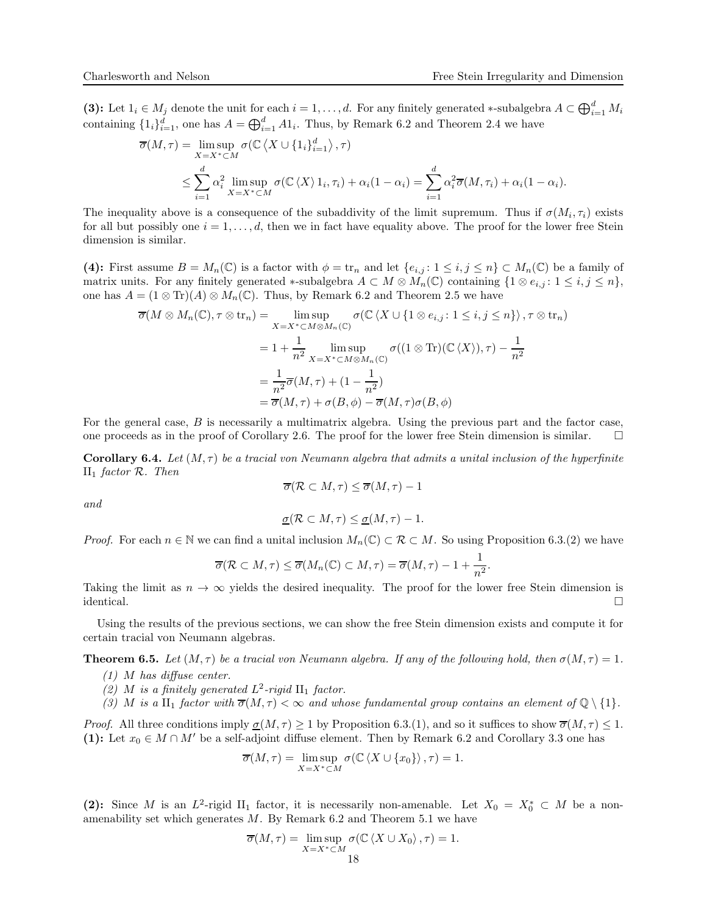(3): Let  $1_i \in M_j$  denote the unit for each  $i = 1, \ldots, d$ . For any finitely generated ∗-subalgebra  $A \subset \bigoplus_{i=1}^d M_i$ containing  $\{1_i\}_{i=1}^d$ , one has  $A = \bigoplus_{i=1}^d A1_i$ . Thus, by Remark [6.2](#page-16-0) and Theorem [2.4](#page-7-0) we have

$$
\overline{\sigma}(M,\tau) = \limsup_{X=X^*\subset M} \sigma(\mathbb{C}\langle X\cup\{1_i\}_{i=1}^d\rangle, \tau)
$$
  

$$
\leq \sum_{i=1}^d \alpha_i^2 \limsup_{X=X^*\subset M} \sigma(\mathbb{C}\langle X\rangle 1_i, \tau_i) + \alpha_i(1-\alpha_i) = \sum_{i=1}^d \alpha_i^2 \overline{\sigma}(M, \tau_i) + \alpha_i(1-\alpha_i).
$$

The inequality above is a consequence of the subaddivity of the limit supremum. Thus if  $\sigma(M_i, \tau_i)$  exists for all but possibly one  $i = 1, \ldots, d$ , then we in fact have equality above. The proof for the lower free Stein dimension is similar.

(4): First assume  $B = M_n(\mathbb{C})$  is a factor with  $\phi = \text{tr}_n$  and let  $\{e_{i,j} : 1 \leq i,j \leq n\} \subset M_n(\mathbb{C})$  be a family of matrix units. For any finitely generated \*-subalgebra  $A \subset M \otimes M_n(\mathbb{C})$  containing  $\{1 \otimes e_{i,j} : 1 \leq i,j \leq n\},\$ one has  $A = (1 \otimes \text{Tr})(A) \otimes M_n(\mathbb{C})$ . Thus, by Remark [6.2](#page-16-0) and Theorem [2.5](#page-7-2) we have

$$
\overline{\sigma}(M \otimes M_n(\mathbb{C}), \tau \otimes \operatorname{tr}_n) = \limsup_{X = X^* \subset M \otimes M_n(\mathbb{C})} \sigma(\mathbb{C}\langle X \cup \{1 \otimes e_{i,j} : 1 \le i, j \le n\} \rangle, \tau \otimes \operatorname{tr}_n)
$$
  
\n
$$
= 1 + \frac{1}{n^2} \limsup_{X = X^* \subset M \otimes M_n(\mathbb{C})} \sigma((1 \otimes \operatorname{Tr})(\mathbb{C}\langle X \rangle), \tau) - \frac{1}{n^2}
$$
  
\n
$$
= \frac{1}{n^2} \overline{\sigma}(M, \tau) + (1 - \frac{1}{n^2})
$$
  
\n
$$
= \overline{\sigma}(M, \tau) + \sigma(B, \phi) - \overline{\sigma}(M, \tau) \sigma(B, \phi)
$$

For the general case, B is necessarily a multimatrix algebra. Using the previous part and the factor case, one proceeds as in the proof of Corollary [2.6.](#page-9-0) The proof for the lower free Stein dimension is similar.  $\square$ 

**Corollary 6.4.** Let  $(M, \tau)$  be a tracial von Neumann algebra that admits a unital inclusion of the hyperfinite  $II_1$  factor  $\mathcal{R}$ . Then

$$
\overline{\sigma}(\mathcal{R}\subset M, \tau) \leq \overline{\sigma}(M, \tau) - 1
$$

and

$$
\underline{\sigma}(\mathcal{R}\subset M,\tau)\leq \underline{\sigma}(M,\tau)-1.
$$

*Proof.* For each  $n \in \mathbb{N}$  we can find a unital inclusion  $M_n(\mathbb{C}) \subset \mathcal{R} \subset M$ . So using Proposition [6.3.](#page-16-1)(2) we have

$$
\overline{\sigma}(\mathcal{R}\subset M, \tau)\leq \overline{\sigma}(M_n(\mathbb{C})\subset M, \tau)=\overline{\sigma}(M, \tau)-1+\frac{1}{n^2}.
$$

Taking the limit as  $n \to \infty$  yields the desired inequality. The proof for the lower free Stein dimension is identical. identical.

Using the results of the previous sections, we can show the free Stein dimension exists and compute it for certain tracial von Neumann algebras.

<span id="page-17-0"></span>**Theorem 6.5.** Let  $(M, \tau)$  be a tracial von Neumann algebra. If any of the following hold, then  $\sigma(M, \tau) = 1$ .

- $(1)$  M has diffuse center.
- (2) M is a finitely generated  $L^2$ -rigid  $\text{II}_1$  factor.
- (3) M is a  $\text{II}_1$  factor with  $\overline{\sigma}(M, \tau) < \infty$  and whose fundamental group contains an element of  $\mathbb{Q} \setminus \{1\}$ .

*Proof.* All three conditions imply  $\underline{\sigma}(M, \tau) \geq 1$  by Proposition [6.3.](#page-16-1)(1), and so it suffices to show  $\overline{\sigma}(M, \tau) \leq 1$ . (1): Let  $x_0 \in M \cap M'$  be a self-adjoint diffuse element. Then by Remark [6.2](#page-16-0) and Corollary [3.3](#page-10-0) one has

$$
\overline{\sigma}(M,\tau) = \limsup_{X=X^* \subset M} \sigma(\mathbb{C}\left\langle X \cup \{x_0\} \right\rangle, \tau) = 1.
$$

(2): Since M is an  $L^2$ -rigid  $\Pi_1$  factor, it is necessarily non-amenable. Let  $X_0 = X_0^* \subset M$  be a nonamenability set which generates  $M$ . By Remark [6.2](#page-16-0) and Theorem [5.1](#page-15-0) we have

$$
\overline{\sigma}(M,\tau) = \limsup_{X=X^*\subset M} \sigma(\mathbb{C}\langle X \cup X_0 \rangle, \tau) = 1.
$$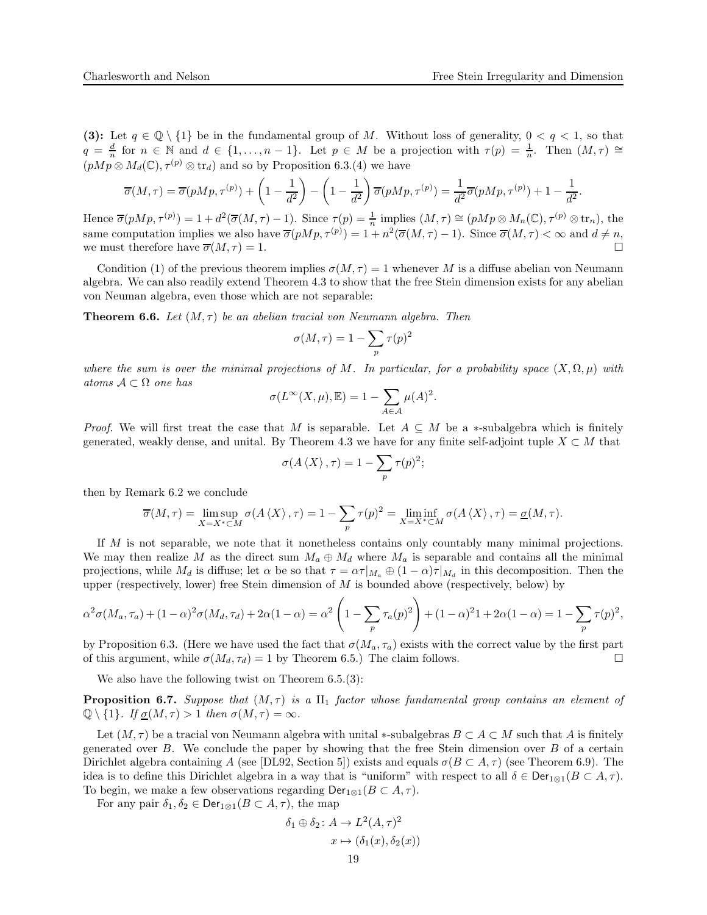(3): Let  $q \in \mathbb{Q} \setminus \{1\}$  be in the fundamental group of M. Without loss of generality,  $0 < q < 1$ , so that  $q = \frac{d}{n}$  for  $n \in \mathbb{N}$  and  $d \in \{1, ..., n-1\}$ . Let  $p \in M$  be a projection with  $\tau(p) = \frac{1}{n}$ . Then  $(M, \tau) \cong$  $(pMp \otimes M_d(\mathbb{C}), \tau^{(p)} \otimes \text{tr}_d)$  and so by Proposition [6.3.](#page-16-1)(4) we have

$$
\overline{\sigma}(M,\tau) = \overline{\sigma}(pMp, \tau^{(p)}) + \left(1 - \frac{1}{d^2}\right) - \left(1 - \frac{1}{d^2}\right)\overline{\sigma}(pMp, \tau^{(p)}) = \frac{1}{d^2}\overline{\sigma}(pMp, \tau^{(p)}) + 1 - \frac{1}{d^2}.
$$

Hence  $\overline{\sigma}(pMp, \tau^{(p)}) = 1 + d^2(\overline{\sigma}(M, \tau) - 1)$ . Since  $\tau(p) = \frac{1}{n}$  implies  $(M, \tau) \cong (pMp \otimes M_n(\mathbb{C}), \tau^{(p)} \otimes \text{tr}_n)$ , the same computation implies we also have  $\overline{\sigma}(pMp, \tau^{(p)}) = 1 + n^2(\overline{\sigma}(M, \tau) - 1)$ . Since  $\overline{\sigma}(M, \tau) < \infty$  and  $d \neq n$ , we must therefore have  $\overline{\sigma}(M, \tau) = 1$ .

Condition (1) of the previous theorem implies  $\sigma(M, \tau) = 1$  whenever M is a diffuse abelian von Neumann algebra. We can also readily extend Theorem [4.3](#page-13-0) to show that the free Stein dimension exists for any abelian von Neuman algebra, even those which are not separable:

<span id="page-18-0"></span>**Theorem 6.6.** Let  $(M, \tau)$  be an abelian tracial von Neumann algebra. Then

$$
\sigma(M,\tau)=1-\sum_p \tau(p)^2
$$

where the sum is over the minimal projections of M. In particular, for a probability space  $(X, \Omega, \mu)$  with atoms  $A \subset \Omega$  one has

$$
\sigma(L^{\infty}(X,\mu), \mathbb{E}) = 1 - \sum_{A \in \mathcal{A}} \mu(A)^2.
$$

*Proof.* We will first treat the case that M is separable. Let  $A \subseteq M$  be a \*-subalgebra which is finitely generated, weakly dense, and unital. By Theorem [4.3](#page-13-0) we have for any finite self-adjoint tuple  $X \subset M$  that

$$
\sigma(A\left\langle X\right\rangle, \tau) = 1 - \sum_{p} \tau(p)^2;
$$

then by Remark [6.2](#page-16-0) we conclude

$$
\overline{\sigma}(M,\tau) = \limsup_{X=X^* \subset M} \sigma(A \langle X \rangle, \tau) = 1 - \sum_p \tau(p)^2 = \liminf_{X=X^* \subset M} \sigma(A \langle X \rangle, \tau) = \underline{\sigma}(M,\tau).
$$

If M is not separable, we note that it nonetheless contains only countably many minimal projections. We may then realize M as the direct sum  $M_a \oplus M_d$  where  $M_a$  is separable and contains all the minimal projections, while  $M_d$  is diffuse; let  $\alpha$  be so that  $\tau = \alpha \tau |_{M_a} \oplus (1 - \alpha) \tau |_{M_d}$  in this decomposition. Then the upper (respectively, lower) free Stein dimension of  $M$  is bounded above (respectively, below) by

$$
\alpha^2 \sigma(M_a, \tau_a) + (1 - \alpha)^2 \sigma(M_d, \tau_d) + 2\alpha (1 - \alpha) = \alpha^2 \left(1 - \sum_p \tau_a(p)^2\right) + (1 - \alpha)^2 1 + 2\alpha (1 - \alpha) = 1 - \sum_p \tau(p)^2,
$$

by Proposition [6.3.](#page-16-1) (Here we have used the fact that  $\sigma(M_a, \tau_a)$  exists with the correct value by the first part of this argument, while  $\sigma(M_d, \tau_d) = 1$  by Theorem [6.5.](#page-17-0)) The claim follows.

We also have the following twist on Theorem [6.5.](#page-17-0)(3):

**Proposition 6.7.** Suppose that  $(M, \tau)$  is a  $\text{II}_1$  factor whose fundamental group contains an element of  $\mathbb{Q} \setminus \{1\}$ . If  $\underline{\sigma}(M, \tau) > 1$  then  $\sigma(M, \tau) = \infty$ .

Let  $(M, \tau)$  be a tracial von Neumann algebra with unital ∗-subalgebras  $B \subset A \subset M$  such that A is finitely generated over  $B$ . We conclude the paper by showing that the free Stein dimension over  $B$  of a certain Dirichlet algebra containing A (see [\[DL92,](#page-21-13) Section 5]) exists and equals  $\sigma(B \subset A, \tau)$  (see Theorem [6.9\)](#page-20-0). The idea is to define this Dirichlet algebra in a way that is "uniform" with respect to all  $\delta \in \text{Der}_{1\otimes 1}(B \subset A, \tau)$ . To begin, we make a few observations regarding  $\textsf{Der}_{1\otimes 1}(B \subset A, \tau)$ .

For any pair  $\delta_1, \delta_2 \in \text{Der}_{1\otimes 1}(B \subset A, \tau)$ , the map

$$
\delta_1 \oplus \delta_2 \colon A \to L^2(A, \tau)^2
$$

$$
x \mapsto (\delta_1(x), \delta_2(x))
$$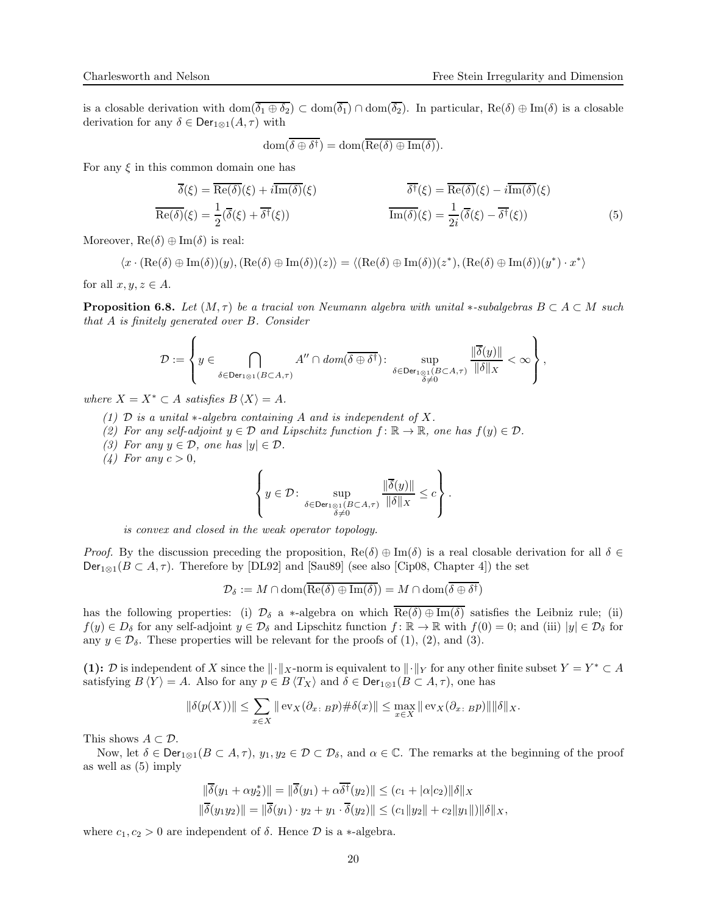is a closable derivation with dom $(\overline{\delta_1 \oplus \delta_2}) \subset \text{dom}(\overline{\delta_1}) \cap \text{dom}(\overline{\delta_2})$ . In particular,  $\text{Re}(\delta) \oplus \text{Im}(\delta)$  is a closable derivation for any  $\delta \in \text{Der}_{1\otimes 1}(A, \tau)$  with

<span id="page-19-0"></span>
$$
\text{dom}(\overline{\delta \oplus \delta^{\dagger}}) = \text{dom}(\overline{\text{Re}(\delta) \oplus \text{Im}(\delta)}).
$$

For any  $\xi$  in this common domain one has

$$
\overline{\delta}(\xi) = \overline{\text{Re}(\delta)}(\xi) + i \overline{\text{Im}(\delta)}(\xi) \qquad \overline{\delta^{\dagger}}(\xi) = \overline{\text{Re}(\delta)}(\xi) - i \overline{\text{Im}(\delta)}(\xi)
$$
\n
$$
\overline{\text{Re}(\delta)}(\xi) = \frac{1}{2} (\overline{\delta}(\xi) + \overline{\delta^{\dagger}}(\xi)) \qquad \overline{\text{Im}(\delta)}(\xi) = \frac{1}{2i} (\overline{\delta}(\xi) - \overline{\delta^{\dagger}}(\xi)) \qquad (5)
$$

Moreover,  $\text{Re}(\delta) \oplus \text{Im}(\delta)$  is real:

$$
\langle x\cdot(\mathrm{Re}(\delta)\oplus\mathrm{Im}(\delta))(y),(\mathrm{Re}(\delta)\oplus\mathrm{Im}(\delta))(z)\rangle=\langle (\mathrm{Re}(\delta)\oplus\mathrm{Im}(\delta))(z^*),(\mathrm{Re}(\delta)\oplus\mathrm{Im}(\delta))(y^*)\cdot x^*\rangle
$$

for all  $x, y, z \in A$ .

<span id="page-19-1"></span>**Proposition 6.8.** Let  $(M, \tau)$  be a tracial von Neumann algebra with unital ∗-subalgebras  $B \subset A \subset M$  such that A is finitely generated over B. Consider

$$
\mathcal{D} := \left\{ y \in \bigcap_{\delta \in \mathsf{Der}_{1\otimes 1}(B \subset A,\tau)} A'' \cap \mathit{dom}(\overline{\delta \oplus \delta^{\dagger}}) : \sup_{\delta \in \mathsf{Der}_{1\otimes 1}(B \subset A,\tau)} \frac{\|\overline{\delta}(y)\|}{\|\delta\|_{X}} < \infty \right\},\right\}
$$

where  $X = X^* \subset A$  satisfies  $B \langle X \rangle = A$ .

- (1)  $\mathcal D$  is a unital  $\ast$ -algebra containing A and is independent of X.
- (2) For any self-adjoint  $y \in \mathcal{D}$  and Lipschitz function  $f : \mathbb{R} \to \mathbb{R}$ , one has  $f(y) \in \mathcal{D}$ .
- (3) For any  $y \in \mathcal{D}$ , one has  $|y| \in \mathcal{D}$ .
- (4) For any  $c > 0$ ,

$$
\left\{ y \in \mathcal{D} \colon \sup_{\delta \in \mathsf{Der}_{1\otimes 1}(B \subset A,\tau)} \frac{\|\overline{\delta}(y)\|}{\|\delta\|_X} \leq c \right\}.
$$

is convex and closed in the weak operator topology.

Proof. By the discussion preceding the proposition,  $\text{Re}(\delta) \oplus \text{Im}(\delta)$  is a real closable derivation for all  $\delta \in$  $Der_{1\otimes 1}(B\subset A,\tau)$ . Therefore by [\[DL92\]](#page-21-13) and [\[Sau89\]](#page-21-14) (see also [\[Cip08,](#page-21-15) Chapter 4]) the set

$$
\mathcal{D}_{\delta} := M \cap \text{dom}(\overline{\text{Re}(\delta) \oplus \text{Im}(\delta)}) = M \cap \text{dom}(\overline{\delta \oplus \delta^{\dagger}})
$$

has the following properties: (i)  $\mathcal{D}_{\delta}$  a \*-algebra on which  $\text{Re}(\delta) \oplus \text{Im}(\delta)$  satisfies the Leibniz rule; (ii)  $f(y) \in D_{\delta}$  for any self-adjoint  $y \in \mathcal{D}_{\delta}$  and Lipschitz function  $f: \mathbb{R} \to \mathbb{R}$  with  $f(0) = 0$ ; and (iii)  $|y| \in \mathcal{D}_{\delta}$  for any  $y \in \mathcal{D}_\delta$ . These properties will be relevant for the proofs of (1), (2), and (3).

(1): D is independent of X since the  $\|\cdot\|_X$ -norm is equivalent to  $\|\cdot\|_Y$  for any other finite subset  $Y = Y^* \subset A$ satisfying  $B \langle Y \rangle = A$ . Also for any  $p \in B \langle T_X \rangle$  and  $\delta \in \text{Der}_{1 \otimes 1}(B \subset A, \tau)$ , one has

$$
\|\delta(p(X))\| \leq \sum_{x \in X} \|\operatorname{ev}_X(\partial_{x \colon B} p) \# \delta(x)\| \leq \max_{x \in X} \|\operatorname{ev}_X(\partial_{x \colon B} p)\| \|\delta\|_X.
$$

This shows  $A \subset \mathcal{D}$ .

Now, let  $\delta \in \text{Der}_{1\otimes 1}(B \subset A, \tau)$ ,  $y_1, y_2 \in \mathcal{D} \subset \mathcal{D}_{\delta}$ , and  $\alpha \in \mathbb{C}$ . The remarks at the beginning of the proof as well as [\(5\)](#page-19-0) imply

$$
\|\overline{\delta}(y_1 + \alpha y_2^*)\| = \|\overline{\delta}(y_1) + \alpha \overline{\delta^{\dagger}}(y_2)\| \le (c_1 + |\alpha|c_2) \|\delta\|_X
$$
  

$$
\|\overline{\delta}(y_1 y_2)\| = \|\overline{\delta}(y_1) \cdot y_2 + y_1 \cdot \overline{\delta}(y_2)\| \le (c_1 \|y_2\| + c_2 \|y_1\|) \|\delta\|_X,
$$

where  $c_1, c_2 > 0$  are independent of  $\delta$ . Hence  $\mathcal D$  is a  $\ast$ -algebra.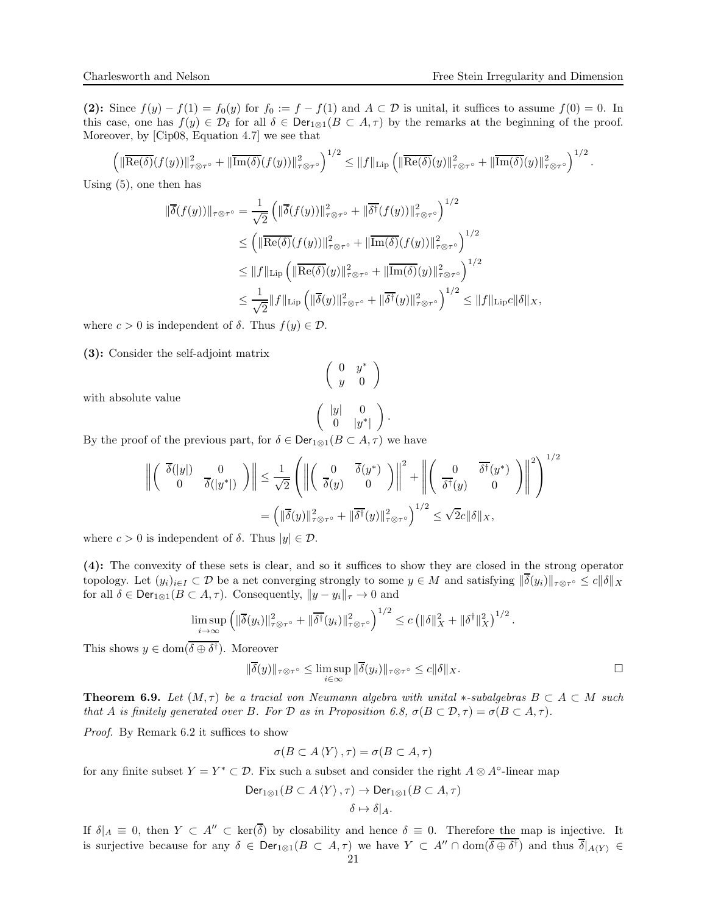$1/2$ 

(2): Since  $f(y) - f(1) = f_0(y)$  for  $f_0 := f - f(1)$  and  $A \subset \mathcal{D}$  is unital, it suffices to assume  $f(0) = 0$ . In this case, one has  $f(y) \in \mathcal{D}_{\delta}$  for all  $\delta \in \text{Der}_{1\otimes 1}(B \subset A, \tau)$  by the remarks at the beginning of the proof. Moreover, by [\[Cip08,](#page-21-15) Equation 4.7] we see that

$$
\left(\|\overline{\mathrm{Re}(\delta)}(f(y))\|_{\tau\otimes\tau^{\circ}}^2+\|\overline{\mathrm{Im}(\delta)}(f(y))\|_{\tau\otimes\tau^{\circ}}^2\right)^{1/2}\leq\|f\|_{\mathrm{Lip}}\left(\|\overline{\mathrm{Re}(\delta)}(y)\|_{\tau\otimes\tau^{\circ}}^2+\|\overline{\mathrm{Im}(\delta)}(y)\|_{\tau\otimes\tau^{\circ}}^2\right)^{1/2}.
$$

Using [\(5\)](#page-19-0), one then has

$$
\|\overline{\delta}(f(y))\|_{\tau\otimes\tau^{\circ}} = \frac{1}{\sqrt{2}} \left( \|\overline{\delta}(f(y))\|_{\tau\otimes\tau^{\circ}}^2 + \|\overline{\delta^{\dagger}}(f(y))\|_{\tau\otimes\tau^{\circ}}^2 \right)^{1/2} \n\leq \left( \|\overline{\text{Re}(\delta)}(f(y))\|_{\tau\otimes\tau^{\circ}}^2 + \|\overline{\text{Im}(\delta)}(f(y))\|_{\tau\otimes\tau^{\circ}}^2 \right)^{1/2} \n\leq \|f\|_{\text{Lip}} \left( \|\overline{\text{Re}(\delta)}(y)\|_{\tau\otimes\tau^{\circ}}^2 + \|\overline{\text{Im}(\delta)}(y)\|_{\tau\otimes\tau^{\circ}}^2 \right)^{1/2} \n\leq \frac{1}{\sqrt{2}} \|f\|_{\text{Lip}} \left( \|\overline{\delta}(y)\|_{\tau\otimes\tau^{\circ}}^2 + \|\overline{\delta^{\dagger}}(y)\|_{\tau\otimes\tau^{\circ}}^2 \right)^{1/2} \leq \|f\|_{\text{Lip}} c \|\delta\|_{X},
$$

where  $c > 0$  is independent of  $\delta$ . Thus  $f(y) \in \mathcal{D}$ .

(3): Consider the self-adjoint matrix

$$
\left(\begin{array}{cc} 0 & y^* \\ y & 0 \end{array}\right)
$$

with absolute value

$$
\left(\begin{array}{cc} |y| & 0 \\ 0 & |y^*| \end{array}\right).
$$

By the proof of the previous part, for  $\delta \in \text{Der}_{1\otimes 1}(B \subset A, \tau)$  we have

$$
\left\| \begin{pmatrix} \overline{\delta}(|y|) & 0 \\ 0 & \overline{\delta}(|y^*|) \end{pmatrix} \right\| \leq \frac{1}{\sqrt{2}} \left( \left\| \begin{pmatrix} 0 & \overline{\delta}(y^*) \\ \overline{\delta}(y) & 0 \end{pmatrix} \right\|^2 + \left\| \begin{pmatrix} 0 & \overline{\delta^{\dagger}}(y^*) \\ \overline{\delta^{\dagger}}(y) & 0 \end{pmatrix} \right\|^2 \right)^{1/2}
$$

$$
= \left( \|\overline{\delta}(y)\|_{\tau \otimes \tau^{\circ}}^2 + \|\overline{\delta^{\dagger}}(y)\|_{\tau \otimes \tau^{\circ}}^2 \right)^{1/2} \leq \sqrt{2}c \|\delta\|_{X},
$$

where  $c > 0$  is independent of  $\delta$ . Thus  $|y| \in \mathcal{D}$ .

(4): The convexity of these sets is clear, and so it suffices to show they are closed in the strong operator topology. Let  $(y_i)_{i\in I} \subset \mathcal{D}$  be a net converging strongly to some  $y \in M$  and satisfying  $\|\delta(y_i)\|_{\tau\otimes\tau^{\circ}} \leq c\|\delta\|_X$ for all  $\delta \in \text{Der}_{1\otimes 1}(B \subset A, \tau)$ . Consequently,  $||y - y_i||_{\tau} \to 0$  and

$$
\limsup_{i \to \infty} \left( \|\overline{\delta}(y_i)\|_{\tau \otimes \tau^{\circ}}^2 + \|\overline{\delta^{\dagger}}(y_i)\|_{\tau \otimes \tau^{\circ}}^2 \right)^{1/2} \leq c \left( \|\delta\|_{X}^2 + \|\delta^{\dagger}\|_{X}^2 \right)^{1/2}.
$$

This shows  $y \in \text{dom}(\delta \oplus \delta^{\dagger})$ . Moreover

$$
\|\overline{\delta}(y)\|_{\tau\otimes\tau^{\circ}} \leq \limsup_{i\in\infty} \|\overline{\delta}(y_i)\|_{\tau\otimes\tau^{\circ}} \leq c\|\delta\|_X.
$$

<span id="page-20-0"></span>**Theorem 6.9.** Let  $(M, \tau)$  be a tracial von Neumann algebra with unital  $*$ -subalgebras  $B \subset A \subset M$  such that A is finitely generated over B. For D as in Proposition [6.8,](#page-19-1)  $\sigma(B \subset \mathcal{D}, \tau) = \sigma(B \subset A, \tau)$ .

Proof. By Remark [6.2](#page-16-0) it suffices to show

$$
\sigma(B\subset A\langle Y\rangle,\tau)=\sigma(B\subset A,\tau)
$$

for any finite subset  $Y = Y^* \subset \mathcal{D}$ . Fix such a subset and consider the right  $A \otimes A^{\circ}$ -linear map

$$
\begin{aligned} \mathrm{Der}_{1\otimes 1}(B\subset A\left\langle Y\right\rangle,\tau)&\rightarrow \mathrm{Der}_{1\otimes 1}(B\subset A,\tau)\\ \delta&\mapsto \delta|_A. \end{aligned}
$$

If  $\delta|_A \equiv 0$ , then  $Y \subset A'' \subset \text{ker}(\overline{\delta})$  by closability and hence  $\delta \equiv 0$ . Therefore the map is injective. It is surjective because for any  $\delta \in \text{Der}_{1\otimes 1}(B \subset A, \tau)$  we have  $Y \subset A'' \cap \text{dom}(\overline{\delta \oplus \delta^{\dagger}})$  and thus  $\overline{\delta}|_{A\langle Y \rangle} \in$